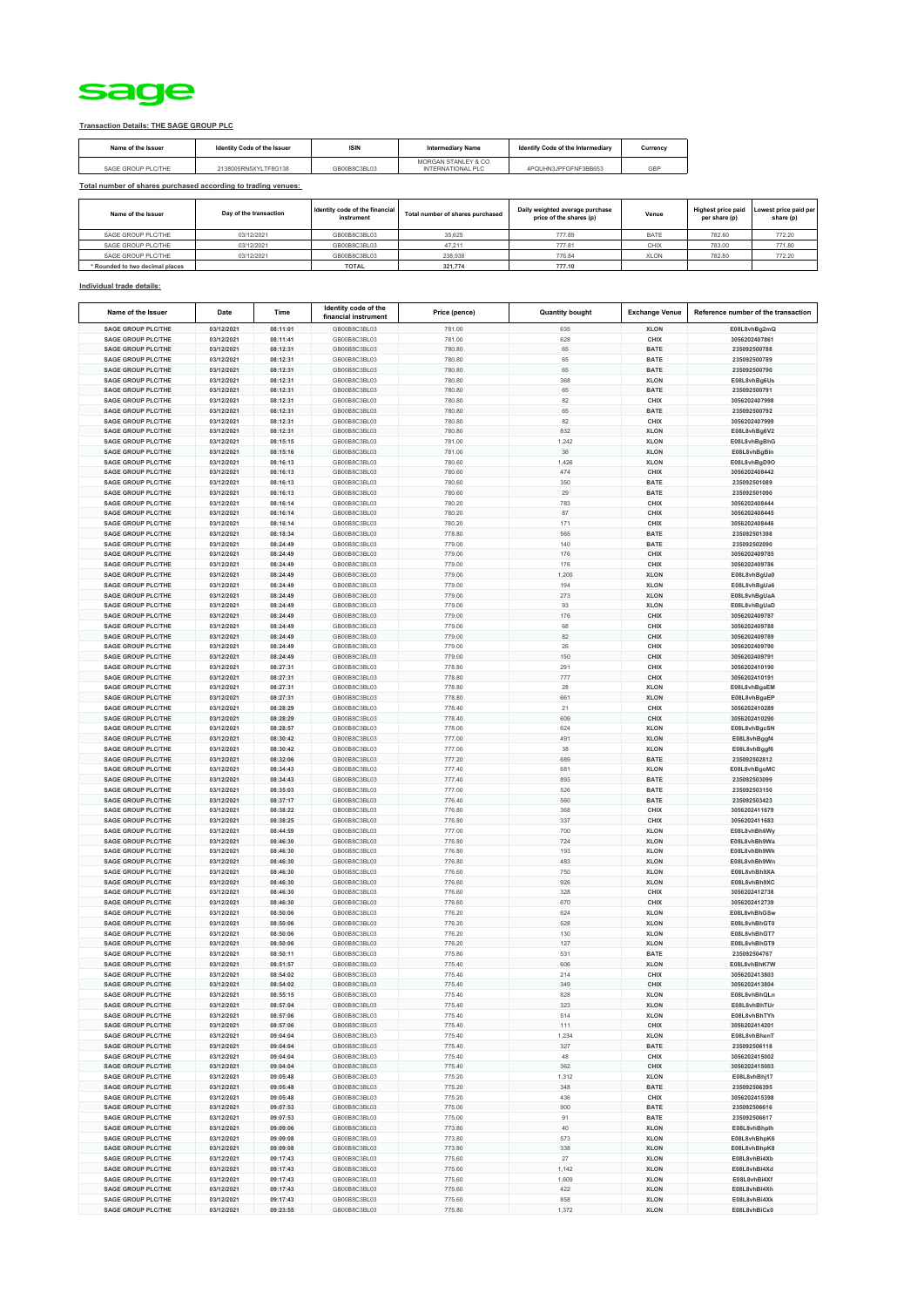

## **Transaction Details: THE SAGE GROUP PLC**

| Name of the Issuer | Identity Code of the Issuer | <b>ISIN</b>  | <b>Intermediary Name</b>                 | Identify Code of the Intermediary | Currency |
|--------------------|-----------------------------|--------------|------------------------------------------|-----------------------------------|----------|
| SAGE GROUP PLC/THE | 2138005RN5XYLTF8G138        | GB00B8C3BL03 | MORGAN STANLEY & CO<br>INTERNATIONAL PLC | 4POUHN3JPEGENE3BB653              | GBP      |

## **Total number of shares purchased according to trading venues:**

| Name of the Issuer              | Day of the transaction | Identity code of the financial<br>instrument | Total number of shares purchased | Daily weighted average purchase<br>price of the shares (p) | Venue       | <b>Highest price paid</b><br>per share (p) | Lowest price paid per<br>share (p) |
|---------------------------------|------------------------|----------------------------------------------|----------------------------------|------------------------------------------------------------|-------------|--------------------------------------------|------------------------------------|
| SAGE GROUP PLC/THE              | 03/12/2021             | GB00B8C3BL03                                 | 35.625                           | 777.89                                                     | <b>BATE</b> | 782.60                                     | 772.20                             |
| SAGE GROUP PLC/THE              | 03/12/2021             | GB00B8C3BL03                                 | 47.211                           | 777.81                                                     | CHIX        | 783.00                                     | 771.80                             |
| SAGE GROUP PLC/THE              | 03/12/2021             | GB00B8C3BL03                                 | 238,938                          | 776.84                                                     | <b>XLON</b> | 782.80                                     | 772.20                             |
| * Rounded to two decimal places |                        | <b>TOTAL</b>                                 | 321,774                          | 777.10                                                     |             |                                            |                                    |

## **Individual trade details:**

| Name of the Issuer        | Date       | Time     | Identity code of the<br>financial instrument | Price (pence) | <b>Quantity bought</b> | <b>Exchange Venue</b> | Reference number of the transaction |
|---------------------------|------------|----------|----------------------------------------------|---------------|------------------------|-----------------------|-------------------------------------|
| <b>SAGE GROUP PLC/THE</b> | 03/12/2021 | 08:11:01 | GB00B8C3BL03                                 | 781.00        | 635                    | <b>XLON</b>           | E08L8vhBg2mQ                        |
| <b>SAGE GROUP PLC/THE</b> | 03/12/2021 | 08:11:41 | GB00B8C3BL03                                 | 781.00        | 628                    | CHIX                  | 3056202407861                       |
| <b>SAGE GROUP PLC/THE</b> | 03/12/2021 | 08:12:31 | GB00B8C3BL03                                 | 780.80        | 65                     | <b>BATE</b>           | 235092500788                        |
| <b>SAGE GROUP PLC/THE</b> | 03/12/2021 |          | GB00B8C3BL03                                 |               | 65                     |                       | 235092500789                        |
|                           |            | 08:12:31 |                                              | 780.80        |                        | <b>BATE</b>           |                                     |
| <b>SAGE GROUP PLC/THE</b> | 03/12/2021 | 08:12:31 | GB00B8C3BL03                                 | 780.80        | 65                     | <b>BATE</b>           | 235092500790                        |
| <b>SAGE GROUP PLC/THE</b> | 03/12/2021 | 08:12:31 | GB00B8C3BL03                                 | 780.80        | 368                    | <b>XLON</b>           | E08L8vhBg6Us                        |
| <b>SAGE GROUP PLC/THE</b> | 03/12/2021 | 08:12:31 | GB00B8C3BL03                                 | 780.80        | 65                     | <b>BATE</b>           | 235092500791                        |
| <b>SAGE GROUP PLC/THE</b> | 03/12/2021 | 08:12:31 | GB00B8C3BL03                                 | 780.80        | 82                     | CHIX                  | 3056202407998                       |
| <b>SAGE GROUP PLC/THE</b> | 03/12/2021 | 08:12:31 | GB00B8C3BL03                                 | 780.80        | 65                     | <b>BATE</b>           | 235092500792                        |
| <b>SAGE GROUP PLC/THE</b> | 03/12/2021 | 08:12:31 | GB00B8C3BL03                                 | 780.80        | 82                     | CHIX                  | 3056202407999                       |
| <b>SAGE GROUP PLC/THE</b> | 03/12/2021 | 08:12:31 | GB00B8C3BL03                                 | 780.80        | 832                    | <b>XLON</b>           | E08L8vhBg6V2                        |
| <b>SAGE GROUP PLC/THE</b> | 03/12/2021 | 08:15:15 | GB00B8C3BL03                                 | 781.00        | 1,242                  | <b>XLON</b>           | E08L8vhBgBhG                        |
| <b>SAGE GROUP PLC/THE</b> | 03/12/2021 | 08:15:16 | GB00B8C3BL03                                 | 781.00        | 36                     | <b>XLON</b>           | E08L8vhBgBin                        |
| <b>SAGE GROUP PLC/THE</b> | 03/12/2021 | 08:16:13 | GB00B8C3BL03                                 | 780.60        | 1,426                  | <b>XLON</b>           | E08L8vhBgD9O                        |
| <b>SAGE GROUP PLC/THE</b> | 03/12/2021 | 08:16:13 | GB00B8C3BL03                                 | 780.60        | 474                    | CHIX                  | 3056202408442                       |
| SAGE GROUP PLC/THE        | 03/12/2021 | 08:16:13 | GB00B8C3BL03                                 | 780.60        | 350                    | <b>BATE</b>           | 235092501089                        |
| <b>SAGE GROUP PLC/THE</b> | 03/12/2021 | 08:16:13 | GB00B8C3BL03                                 | 780.60        | 29                     | <b>BATE</b>           | 235092501090                        |
| <b>SAGE GROUP PLC/THE</b> | 03/12/2021 | 08:16:14 | GB00B8C3BL03                                 | 780.20        | 783                    | CHIX                  | 3056202408444                       |
| <b>SAGE GROUP PLC/THE</b> | 03/12/2021 | 08:16:14 | GB00B8C3BL03                                 | 780.20        | 87                     | CHIX                  | 3056202408445                       |
| <b>SAGE GROUP PLC/THE</b> | 03/12/2021 | 08:16:14 | GB00B8C3BL03                                 | 780.20        | 171                    | CHIX                  | 3056202408446                       |
| <b>SAGE GROUP PLC/THE</b> | 03/12/2021 | 08:18:34 | GB00B8C3BL03                                 | 778.80        | 565                    | <b>BATE</b>           | 235092501398                        |
| <b>SAGE GROUP PLC/THE</b> | 03/12/2021 | 08:24:49 | GB00B8C3BL03                                 | 779.00        | 140                    | <b>BATE</b>           | 235092502090                        |
| <b>SAGE GROUP PLC/THE</b> | 03/12/2021 | 08:24:49 | GB00B8C3BL03                                 |               | 176                    | CHIX                  | 3056202409785                       |
| <b>SAGE GROUP PLC/THE</b> | 03/12/2021 | 08:24:49 | GB00B8C3BL03                                 | 779.00        | 176                    | CHIX                  | 3056202409786                       |
|                           |            |          |                                              | 779.00        |                        |                       |                                     |
| <b>SAGE GROUP PLC/THE</b> | 03/12/2021 | 08:24:49 | GB00B8C3BL03                                 | 779.00        | 1,200                  | <b>XLON</b>           | E08L8vhBgUa0                        |
| <b>SAGE GROUP PLC/THE</b> | 03/12/2021 | 08:24:49 | GB00B8C3BL03                                 | 779.00        | 194                    | <b>XLON</b>           | E08L8vhBgUa6                        |
| <b>SAGE GROUP PLC/THE</b> | 03/12/2021 | 08:24:49 | GB00B8C3BL03                                 | 779.00        | 273                    | <b>XLON</b>           | E08L8vhBgUaA                        |
| <b>SAGE GROUP PLC/THE</b> | 03/12/2021 | 08:24:49 | GB00B8C3BL03                                 | 779.00        | 93                     | <b>XLON</b>           | E08L8vhBgUaD                        |
| <b>SAGE GROUP PLC/THE</b> | 03/12/2021 | 08:24:49 | GB00B8C3BL03                                 | 779.00        | 176                    | CHIX                  | 3056202409787                       |
| <b>SAGE GROUP PLC/THE</b> | 03/12/2021 | 08:24:49 | GB00B8C3BL03                                 | 779.00        | 68                     | CHIX                  | 3056202409788                       |
| <b>SAGE GROUP PLC/THE</b> | 03/12/2021 | 08:24:49 | GB00B8C3BL03                                 | 779.00        | 82                     | CHIX                  | 3056202409789                       |
| <b>SAGE GROUP PLC/THE</b> | 03/12/202  | 08:24:49 | GB00B8C3BL03                                 | 779.00        | 26                     | CHIX                  | 3056202409790                       |
| <b>SAGE GROUP PLC/THE</b> | 03/12/2021 | 08:24:49 | GB00B8C3BL03                                 | 779.00        | 150                    | CHIX                  | 3056202409791                       |
| <b>SAGE GROUP PLC/THE</b> | 03/12/2021 | 08:27:31 | GB00B8C3BL03                                 | 778.80        | 291                    | CHIX                  | 3056202410190                       |
| <b>SAGE GROUP PLC/THE</b> | 03/12/2021 | 08:27:31 | GB00B8C3BL03                                 | 778.80        | 777                    | CHIX                  | 3056202410191                       |
| SAGE GROUP PLC/THE        | 03/12/2021 | 08:27:31 | GB00B8C3BL03                                 | 778.80        | 28                     | <b>XLON</b>           | E08L8vhBgaEM                        |
| <b>SAGE GROUP PLC/THE</b> | 03/12/2021 | 08:27:31 | GB00B8C3BL03                                 | 778.80        | 661                    | <b>XLON</b>           | E08L8vhBgaEP                        |
| SAGE GROUP PLC/THE        | 03/12/2021 | 08:28:29 | GB00B8C3BL03                                 | 778.40        | 21                     | CHIX                  | 3056202410289                       |
| <b>SAGE GROUP PLC/THE</b> | 03/12/2021 | 08:28:29 | GB00B8C3BL03                                 | 778.40        | 609                    | CHIX                  | 3056202410290                       |
| SAGE GROUP PLC/THE        | 03/12/2021 | 08:28:57 | GB00B8C3BL03                                 | 778.00        | 624                    | <b>XLON</b>           | E08L8vhBgcSN                        |
| <b>SAGE GROUP PLC/THE</b> | 03/12/2021 | 08:30:42 | GB00B8C3BL03                                 | 777.00        | 491                    | <b>XLON</b>           | E08L8vhBggf4                        |
| <b>SAGE GROUP PLC/THE</b> | 03/12/2021 | 08:30:42 | GB00B8C3BL03                                 | 777.00        | 38                     | <b>XLON</b>           | E08L8vhBggf6                        |
| <b>SAGE GROUP PLC/THE</b> | 03/12/2021 | 08:32:06 | GB00B8C3BL03                                 | 777.20        | 689                    | <b>BATE</b>           | 235092502812                        |
| <b>SAGE GROUP PLC/THE</b> | 03/12/2021 | 08:34:43 | GB00B8C3BL03                                 | 777.40        | 681                    | <b>XLON</b>           | E08L8vhBgoMC                        |
| <b>SAGE GROUP PLC/THE</b> | 03/12/2021 | 08:34:43 | GB00B8C3BL03                                 | 777.40        | 893                    | <b>BATE</b>           | 235092503099                        |
| <b>SAGE GROUP PLC/THE</b> | 03/12/2021 | 08:35:03 | GB00B8C3BL03                                 | 777.00        | 526                    | <b>BATE</b>           | 235092503150                        |
| <b>SAGE GROUP PLC/THE</b> | 03/12/2021 | 08:37:17 | GB00B8C3BL03                                 | 776.40        | 560                    | <b>BATE</b>           | 235092503423                        |
| <b>SAGE GROUP PLC/THE</b> | 03/12/2021 | 08:38:22 | GB00B8C3BL03                                 | 776.80        | 368                    | CHIX                  | 3056202411679                       |
|                           |            |          |                                              |               |                        |                       |                                     |
| <b>SAGE GROUP PLC/THE</b> | 03/12/2021 | 08:38:25 | GB00B8C3BL03                                 | 776.80        | 337                    | CHIX                  | 3056202411683                       |
| <b>SAGE GROUP PLC/THE</b> | 03/12/2021 | 08:44:59 | GB00B8C3BL03                                 | 777.00        | 700                    | <b>XLON</b>           | E08L8vhBh6Wy                        |
| <b>SAGE GROUP PLC/THE</b> | 03/12/2021 | 08:46:30 | GB00B8C3BL03                                 | 776.80        | 724                    | <b>XLON</b>           | E08L8vhBh9Wa                        |
| <b>SAGE GROUP PLC/THE</b> | 03/12/202  | 08:46:30 | GB00B8C3BL03                                 | 776.80        | 193                    | <b>XLON</b>           | E08L8vhBh9Wk                        |
| <b>SAGE GROUP PLC/THE</b> | 03/12/2021 | 08:46:30 | GB00B8C3BL03                                 | 776.80        | 483                    | <b>XLON</b>           | E08L8vhBh9Wn                        |
| <b>SAGE GROUP PLC/THE</b> | 03/12/2021 | 08:46:30 | GB00B8C3BL03                                 | 776.60        | 750                    | <b>XLON</b>           | E08L8vhBh9XA                        |
| <b>SAGE GROUP PLC/THE</b> | 03/12/2021 | 08:46:30 | GB00B8C3BL03                                 | 776.60        | 926                    | <b>XLON</b>           | E08L8vhBh9XC                        |
| <b>SAGE GROUP PLC/THE</b> | 03/12/2021 | 08:46:30 | GB00B8C3BL03                                 | 776.60        | 328                    | CHIX                  | 3056202412738                       |
| <b>SAGE GROUP PLC/THE</b> | 03/12/2021 | 08:46:30 | GB00B8C3BL03                                 | 776.60        | 670                    | CHIX                  | 3056202412739                       |
| SAGE GROUP PLC/THE        | 03/12/2021 | 08:50:06 | GB00B8C3BL03                                 | 776.20        | 624                    | <b>XLON</b>           | E08L8vhBhGSw                        |
| <b>SAGE GROUP PLC/THE</b> | 03/12/2021 | 08:50:06 | GB00B8C3BL03                                 | 776.20        | 528                    | <b>XLON</b>           | E08L8vhBhGT0                        |
| SAGE GROUP PLC/THE        | 03/12/2021 | 08:50:06 | GB00B8C3BL03                                 | 776.20        | 130                    | <b>XLON</b>           | E08L8vhBhGT7                        |
| <b>SAGE GROUP PLC/THE</b> | 03/12/2021 | 08:50:06 | GB00B8C3BL03                                 | 776.20        | 127                    | <b>XLON</b>           | E08L8vhBhGT9                        |
| <b>SAGE GROUP PLC/THE</b> | 03/12/2021 | 08:50:11 | GB00B8C3BL03                                 | 775.80        | 531                    | <b>BATE</b>           | 235092504767                        |
| <b>SAGE GROUP PLC/THE</b> | 03/12/2021 | 08:51:57 | GB00B8C3BL03                                 | 775.40        | 606                    | <b>XLON</b>           | E08L8vhBhK7W                        |
| <b>SAGE GROUP PLC/THE</b> | 03/12/2021 | 08:54:02 | GB00B8C3BL03                                 | 775.40        | 214                    | CHIX                  | 3056202413803                       |
| <b>SAGE GROUP PLC/THE</b> | 03/12/2021 | 08:54:02 | GB00B8C3BL03                                 | 775.40        | 349                    | CHIX                  | 3056202413804                       |
| <b>SAGE GROUP PLC/THE</b> | 03/12/2021 | 08:55:15 | GB00B8C3BL03                                 | 775.40        | 828                    | <b>XLON</b>           | E08L8vhBhQLn                        |
| <b>SAGE GROUP PLC/THE</b> | 03/12/2021 | 08:57:04 | GB00B8C3BL03                                 | 775.40        | 323                    | <b>XLON</b>           | E08L8vhBhTUr                        |
| <b>SAGE GROUP PLC/THE</b> | 03/12/2021 | 08:57:06 | GB00B8C3BL03                                 | 775.40        | 514                    | <b>XLON</b>           | E08L8vhBhTYh                        |
| <b>SAGE GROUP PLC/THE</b> | 03/12/2021 | 08:57:06 | GB00B8C3BL03                                 | 775.40        | 111                    | CHIX                  | 3056202414201                       |
| <b>SAGE GROUP PLC/THE</b> | 03/12/2021 | 09:04:04 | GB00B8C3BL03                                 | 775.40        | 1,234                  | <b>XLON</b>           | E08L8vhBhenT                        |
| <b>SAGE GROUP PLC/THE</b> | 03/12/2021 | 09:04:04 | GB00B8C3BL03                                 | 775.40        | 327                    | BATE                  | 235092506118                        |
| <b>SAGE GROUP PLC/THE</b> | 03/12/2021 | 09:04:04 | GB00B8C3BL03                                 | 775.40        | 48                     | CHIX                  | 3056202415002                       |
| <b>SAGE GROUP PLC/THE</b> | 03/12/2021 | 09:04:04 | GB00B8C3BL03                                 | 775.40        | 362                    | CHIX                  | 3056202415003                       |
| <b>SAGE GROUP PLC/THE</b> | 03/12/2021 | 09:05:48 | GB00B8C3BL03                                 | 775.20        | 1,312                  | <b>XLON</b>           | E08L8vhBhj17                        |
| <b>SAGE GROUP PLC/THE</b> | 03/12/2021 | 09:05:48 | GB00B8C3BL03                                 | 775.20        | 348                    | <b>BATE</b>           | 235092506395                        |
|                           |            |          |                                              |               |                        |                       |                                     |
| <b>SAGE GROUP PLC/THE</b> | 03/12/2021 | 09:05:48 | GB00B8C3BL03                                 | 775.20        | 436                    | CHIX                  | 3056202415398                       |
| <b>SAGE GROUP PLC/THE</b> | 03/12/2021 | 09:07:53 | GB00B8C3BL03                                 | 775.00        | 900                    | <b>BATE</b>           | 235092506616                        |
| <b>SAGE GROUP PLC/THE</b> | 03/12/2021 | 09:07:53 | GB00B8C3BL03                                 | 775.00        | 91                     | <b>BATE</b>           | 235092506617                        |
| <b>SAGE GROUP PLC/THE</b> | 03/12/2021 | 09:09:06 | GB00B8C3BL03                                 | 773.80        | $40\,$                 | <b>XLON</b>           | E08L8vhBhplh                        |
| <b>SAGE GROUP PLC/THE</b> | 03/12/2021 | 09:09:08 | GB00B8C3BL03                                 | 773.80        | 573                    | <b>XLON</b>           | E08L8vhBhpK6                        |
| <b>SAGE GROUP PLC/THE</b> | 03/12/2021 | 09:09:08 | GB00B8C3BL03                                 | 773.80        | 338                    | <b>XLON</b>           | E08L8vhBhpK8                        |
| <b>SAGE GROUP PLC/THE</b> | 03/12/2021 | 09:17:43 | GB00B8C3BL03                                 | 775.60        | $27\,$                 | <b>XLON</b>           | E08L8vhBi4Xb                        |
| <b>SAGE GROUP PLC/THE</b> | 03/12/2021 | 09:17:43 | GB00B8C3BL03                                 | 775.60        | 1,142                  | <b>XLON</b>           | E08L8vhBi4Xd                        |
| <b>SAGE GROUP PLC/THE</b> | 03/12/2021 | 09:17:43 | GB00B8C3BL03                                 | 775.60        | 1,609                  | <b>XLON</b>           | E08L8vhBi4Xf                        |
| <b>SAGE GROUP PLC/THE</b> | 03/12/2021 | 09:17:43 | GB00B8C3BL03                                 | 775.60        | 422                    | <b>XLON</b>           | E08L8vhBi4Xh                        |
| <b>SAGE GROUP PLC/THE</b> | 03/12/2021 | 09:17:43 | GB00B8C3BL03                                 | 775.60        | 858                    | <b>XLON</b>           | E08L8vhBi4Xk                        |
| <b>SAGE GROUP PLC/THE</b> | 03/12/2021 | 09:23:55 | GB00B8C3BL03                                 | 775.80        | 1,372                  | <b>XLON</b>           | E08L8vhBiCx0                        |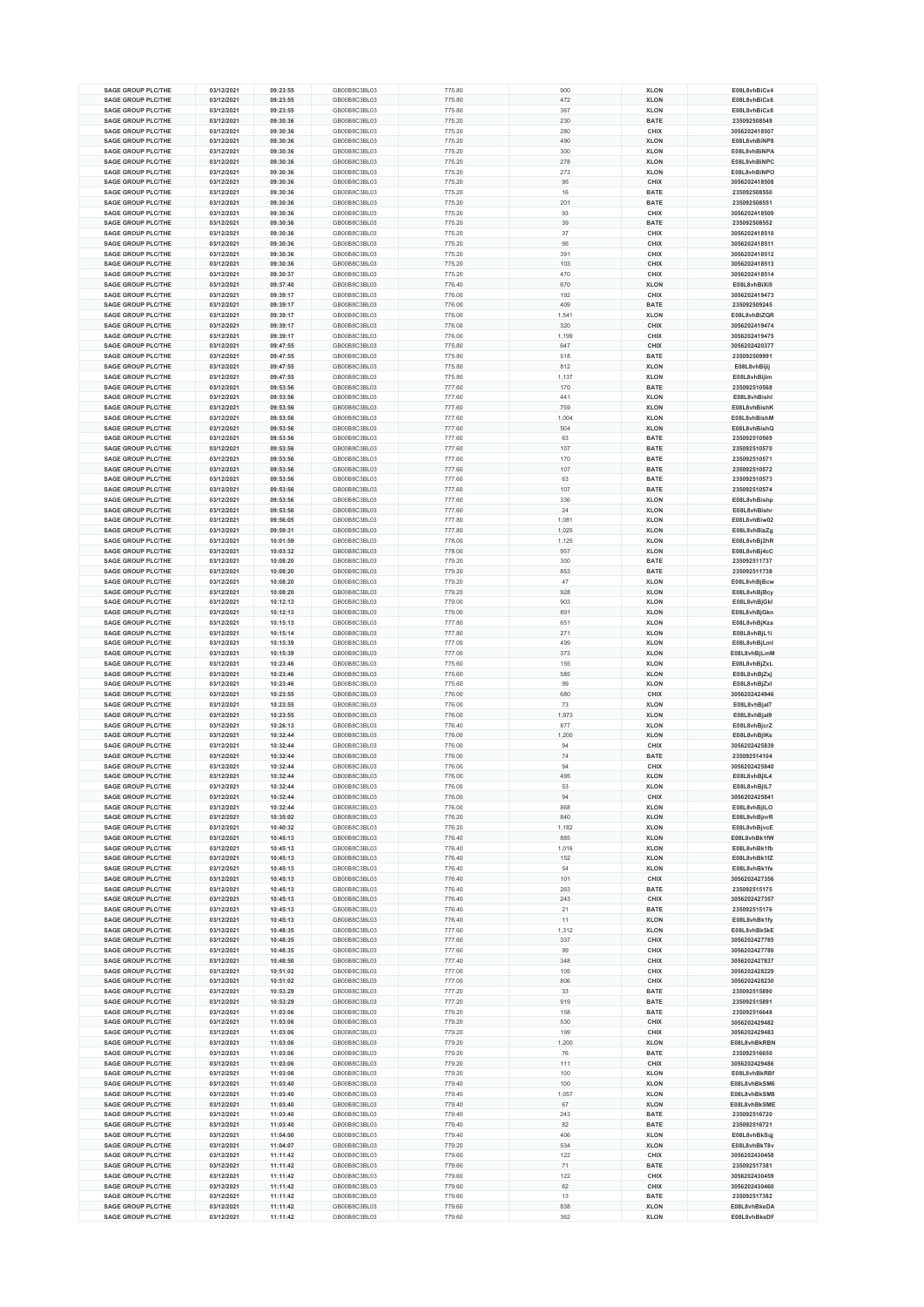| <b>SAGE GROUP PLC/THE</b>                              | 03/12/2021 | 09:23:55 | GB00B8C3BL03 | 775.80 | 900   | <b>XLON</b> | E08L8vhBiCx4  |
|--------------------------------------------------------|------------|----------|--------------|--------|-------|-------------|---------------|
| <b>SAGE GROUP PLC/THE</b>                              | 03/12/2021 | 09:23:55 | GB00B8C3BL03 | 775.80 | 472   | <b>XLON</b> | E08L8vhBiCx6  |
| <b>SAGE GROUP PLC/THE</b>                              | 03/12/2021 | 09:23:55 | GB00B8C3BL03 | 775.80 | 367   | <b>XLON</b> | E08L8vhBiCx8  |
| <b>SAGE GROUP PLC/THE</b>                              | 03/12/2021 | 09:30:36 | GB00B8C3BL03 | 775.20 | 230   | <b>BATE</b> | 235092508549  |
| <b>SAGE GROUP PLC/THE</b>                              | 03/12/2021 | 09:30:36 | GB00B8C3BL03 | 775.20 | 280   | CHIX        | 3056202418507 |
| <b>SAGE GROUP PLC/THE</b>                              | 03/12/2021 | 09:30:36 | GB00B8C3BL03 | 775.20 | 490   | <b>XLON</b> | E08L8vhBiNP8  |
| <b>SAGE GROUP PLC/THE</b>                              | 03/12/2021 | 09:30:36 | GB00B8C3BL03 | 775.20 | 300   | <b>XLON</b> | E08L8vhBiNPA  |
|                                                        |            |          |              |        |       |             |               |
| <b>SAGE GROUP PLC/THE</b>                              | 03/12/2021 | 09:30:36 | GB00B8C3BL03 | 775.20 | 278   | <b>XLON</b> | E08L8vhBiNPC  |
| <b>SAGE GROUP PLC/THE</b>                              | 03/12/2021 | 09:30:36 | GB00B8C3BL03 | 775.20 | 273   | <b>XLON</b> | E08L8vhBiNPO  |
| <b>SAGE GROUP PLC/THE</b>                              | 03/12/2021 | 09:30:36 | GB00B8C3BL03 | 775.20 | 95    | CHIX        | 3056202418508 |
| <b>SAGE GROUP PLC/THE</b>                              | 03/12/2021 | 09:30:36 | GB00B8C3BL03 | 775.20 | 16    | <b>BATE</b> | 235092508550  |
| <b>SAGE GROUP PLC/THE</b>                              | 03/12/2021 | 09:30:36 | GB00B8C3BL03 | 775.20 | 201   | <b>BATE</b> | 235092508551  |
| <b>SAGE GROUP PLC/THE</b>                              | 03/12/2021 | 09:30:36 | GB00B8C3BL03 | 775.20 | 93    | CHIX        | 3056202418509 |
| <b>SAGE GROUP PLC/THE</b>                              | 03/12/2021 | 09:30:36 | GB00B8C3BL03 | 775.20 | 39    | <b>BATE</b> | 235092508552  |
| <b>SAGE GROUP PLC/THE</b>                              | 03/12/2021 | 09:30:36 | GB00B8C3BL03 | 775.20 | 37    | CHIX        | 3056202418510 |
| <b>SAGE GROUP PLC/THE</b>                              | 03/12/2021 | 09:30:36 | GB00B8C3BL03 | 775.20 | 95    | CHIX        | 3056202418511 |
| <b>SAGE GROUP PLC/THE</b>                              | 03/12/2021 | 09:30:36 | GB00B8C3BL03 | 775.20 | 391   | CHIX        | 3056202418512 |
| <b>SAGE GROUP PLC/THE</b>                              |            |          |              |        |       |             |               |
|                                                        | 03/12/2021 | 09:30:36 | GB00B8C3BL03 | 775.20 | 103   | CHIX        | 3056202418513 |
| <b>SAGE GROUP PLC/THE</b>                              | 03/12/2021 | 09:30:37 | GB00B8C3BL03 | 775.20 | 470   | CHIX        | 3056202418514 |
| <b>SAGE GROUP PLC/THE</b>                              | 03/12/2021 | 09:37:40 | GB00B8C3BL03 | 776.40 | 670   | <b>XLON</b> | E08L8vhBiXi9  |
| <b>SAGE GROUP PLC/THE</b>                              | 03/12/2021 | 09:39:17 | GB00B8C3BL03 | 776.00 | 192   | CHIX        | 3056202419473 |
| <b>SAGE GROUP PLC/THE</b>                              | 03/12/2021 | 09:39:17 | GB00B8C3BL03 | 776.00 | 409   | <b>BATE</b> | 235092509245  |
| <b>SAGE GROUP PLC/THE</b>                              | 03/12/2021 | 09:39:17 | GB00B8C3BL03 | 776.00 | 1,541 | <b>XLON</b> | E08L8vhBiZQR  |
| <b>SAGE GROUP PLC/THE</b>                              | 03/12/2021 | 09:39:17 | GB00B8C3BL03 | 776.00 | 320   | CHIX        | 3056202419474 |
| <b>SAGE GROUP PLC/THE</b>                              | 03/12/2021 | 09:39:17 | GB00B8C3BL03 | 776.00 | 1,199 | CHIX        | 3056202419475 |
| <b>SAGE GROUP PLC/THE</b>                              | 03/12/2021 | 09:47:55 | GB00B8C3BL03 | 775.80 | 647   | CHIX        | 3056202420377 |
| <b>SAGE GROUP PLC/THE</b>                              | 03/12/2021 | 09:47:55 | GB00B8C3BL03 | 775.80 | 518   | <b>BATE</b> | 235092509991  |
| <b>SAGE GROUP PLC/THE</b>                              | 03/12/2021 | 09:47:55 | GB00B8C3BL03 | 775.80 | 812   | <b>XLON</b> | E08L8vhBijij  |
| <b>SAGE GROUP PLC/THE</b>                              | 03/12/2021 | 09:47:55 | GB00B8C3BL03 | 775.80 | 1,137 | <b>XLON</b> | E08L8vhBijim  |
| <b>SAGE GROUP PLC/THE</b>                              | 03/12/2021 | 09:53:56 | GB00B8C3BL03 | 777.60 | 170   | <b>BATE</b> | 235092510568  |
|                                                        |            |          |              |        |       |             | E08L8vhBishl  |
| <b>SAGE GROUP PLC/THE</b>                              | 03/12/2021 | 09:53:56 | GB00B8C3BL03 | 777.60 | 441   | <b>XLON</b> | E08L8vhBishK  |
| <b>SAGE GROUP PLC/THE</b>                              | 03/12/2021 | 09:53:56 | GB00B8C3BL03 | 777.60 | 759   | <b>XLON</b> |               |
| <b>SAGE GROUP PLC/THE</b>                              | 03/12/2021 | 09:53:56 | GB00B8C3BL03 | 777.60 | 1,004 | <b>XLON</b> | E08L8vhBishM  |
| <b>SAGE GROUP PLC/THE</b>                              | 03/12/2021 | 09:53:56 | GB00B8C3BL03 | 777.60 | 504   | <b>XLON</b> | E08L8vhBishQ  |
| <b>SAGE GROUP PLC/THE</b>                              | 03/12/2021 | 09:53:56 | GB00B8C3BL03 | 777.60 | 63    | <b>BATE</b> | 235092510569  |
| <b>SAGE GROUP PLC/THE</b>                              | 03/12/2021 | 09:53:56 | GB00B8C3BL03 | 777.60 | 107   | <b>BATE</b> | 235092510570  |
| <b>SAGE GROUP PLC/THE</b>                              | 03/12/2021 | 09:53:56 | GB00B8C3BL03 | 777.60 | 170   | <b>BATE</b> | 235092510571  |
| <b>SAGE GROUP PLC/THE</b>                              | 03/12/2021 | 09:53:56 | GB00B8C3BL03 | 777.60 | 107   | <b>BATE</b> | 235092510572  |
| <b>SAGE GROUP PLC/THE</b>                              | 03/12/2021 | 09:53:56 | GB00B8C3BL03 | 777.60 | 63    | <b>BATE</b> | 235092510573  |
| <b>SAGE GROUP PLC/THE</b>                              | 03/12/2021 | 09:53:56 | GB00B8C3BL03 | 777.60 | 107   | <b>BATE</b> | 235092510574  |
| <b>SAGE GROUP PLC/THE</b>                              | 03/12/2021 | 09:53:56 | GB00B8C3BL03 | 777.60 | 336   | <b>XLON</b> | E08L8vhBishp  |
| <b>SAGE GROUP PLC/THE</b>                              | 03/12/2021 | 09:53:56 | GB00B8C3BL03 | 777.60 | 24    | <b>XLON</b> | E08L8vhBishr  |
| <b>SAGE GROUP PLC/THE</b>                              | 03/12/2021 | 09:56:05 | GB00B8C3BL03 | 777.80 | 1,081 | <b>XLON</b> | E08L8vhBiw02  |
|                                                        |            |          |              |        |       |             |               |
| <b>SAGE GROUP PLC/THE</b>                              | 03/12/2021 | 09:59:31 | GB00B8C3BL03 | 777.80 | 1,025 | <b>XLON</b> | E08L8vhBizZg  |
| <b>SAGE GROUP PLC/THE</b>                              | 03/12/2021 | 10:01:59 | GB00B8C3BL03 | 778.00 | 1,125 | <b>XLON</b> | E08L8vhBj2hR  |
| <b>SAGE GROUP PLC/THE</b>                              | 03/12/2021 | 10:03:32 | GB00B8C3BL03 | 778.00 | 957   | <b>XLON</b> | E08L8vhBj4cC  |
| <b>SAGE GROUP PLC/THE</b>                              | 03/12/2021 | 10:08:20 | GB00B8C3BL03 | 779.20 | 300   | <b>BATE</b> | 235092511737  |
| <b>SAGE GROUP PLC/THE</b>                              | 03/12/2021 | 10:08:20 | GB00B8C3BL03 | 779.20 | 853   | <b>BATE</b> | 235092511738  |
| <b>SAGE GROUP PLC/THE</b>                              | 03/12/2021 | 10:08:20 | GB00B8C3BL03 | 779.20 | 47    | <b>XLON</b> | E08L8vhBjBcw  |
| <b>SAGE GROUP PLC/THE</b>                              | 03/12/2021 | 10:08:20 | GB00B8C3BL03 | 779.20 | 928   | <b>XLON</b> | E08L8vhBjBcy  |
| <b>SAGE GROUP PLC/THE</b>                              | 03/12/2021 | 10:12:13 | GB00B8C3BL03 | 779.00 | 903   | <b>XLON</b> | E08L8vhBjGkl  |
| <b>SAGE GROUP PLC/THE</b>                              | 03/12/2021 | 10:12:13 | GB00B8C3BL03 | 779.00 | 891   | <b>XLON</b> | E08L8vhBjGkn  |
| <b>SAGE GROUP PLC/THE</b>                              | 03/12/2021 | 10:15:13 | GB00B8C3BL03 | 777.80 | 651   | <b>XLON</b> | E08L8vhBjKza  |
| <b>SAGE GROUP PLC/THE</b>                              | 03/12/2021 | 10:15:14 | GB00B8C3BL03 | 777.80 | 271   | <b>XLON</b> | E08L8vhBjL1i  |
| <b>SAGE GROUP PLC/THE</b>                              | 03/12/2021 | 10:15:39 | GB00B8C3BL03 | 777.00 | 499   | <b>XLON</b> | E08L8vhBjLml  |
|                                                        |            |          |              |        |       |             |               |
| <b>SAGE GROUP PLC/THE</b>                              | 03/12/2021 | 10:15:39 | GB00B8C3BL03 | 777.00 | 373   | <b>XLON</b> | E08L8vhBjLmN  |
| <b>SAGE GROUP PLC/THE</b>                              | 03/12/2021 | 10:23:46 | GB00B8C3BL03 | 775.60 | 155   | <b>XLON</b> | E08L8vhBjZxL  |
| <b>SAGE GROUP PLC/THE</b>                              | 03/12/2021 | 10:23:46 | GB00B8C3BL03 | 775.60 | 585   | <b>XLON</b> | E08L8vhBjZxj  |
| <b>SAGE GROUP PLC/THE</b>                              | 03/12/2021 | 10:23:46 | GB00B8C3BL03 | 775.60 | 99    | <b>XLON</b> | E08L8vhBjZxl  |
| <b>SAGE GROUP PLC/THE</b>                              | 03/12/2021 | 10:23:55 | GB00B8C3BL03 | 776.00 | 680   | CHIX        | 3056202424946 |
| <b>SAGE GROUP PLC/THE</b>                              | 03/12/2021 | 10:23:55 | GB00B8C3BL03 | 776.00 | 73    | <b>XLON</b> | E08L8vhBjal7  |
| <b>SAGE GROUP PLC/THE</b>                              | 03/12/2021 | 10:23:55 | GB00B8C3BL03 | 776.00 | 1,973 | <b>XLON</b> | E08L8vhBjal9  |
| <b>SAGE GROUP PLC/THE</b>                              | 03/12/2021 | 10:26:13 | GB00B8C3BL03 | 776.40 | 877   | <b>XLON</b> | E08L8vhBjcrZ  |
| <b>SAGE GROUP PLC/THE</b>                              | 03/12/2021 | 10:32:44 | GB00B8C3BL03 | 776.00 | 1,200 | <b>XLON</b> | E08L8vhBjlKs  |
| SAGE GROUP PLC/THE                                     | 03/12/2021 | 10:32:44 | GB00B8C3BL03 | 776.00 | 94    | CHIX        | 3056202425839 |
| <b>SAGE GROUP PLC/THE</b>                              | 03/12/2021 | 10:32:44 | GB00B8C3BL03 | 776.00 | 74    | <b>BATE</b> | 235092514104  |
| <b>SAGE GROUP PLC/THE</b>                              | 03/12/2021 | 10:32:44 | GB00B8C3BL03 | 776.00 | 94    | CHIX        | 3056202425840 |
| SAGE GROUP PLC/THE                                     | 03/12/2021 | 10:32:44 | GB00B8C3BL03 | 776.00 | 495   | <b>XLON</b> | E08L8vhBjlL4  |
| <b>SAGE GROUP PLC/THE</b>                              | 03/12/2021 | 10:32:44 | GB00B8C3BL03 | 776.00 | 53    | <b>XLON</b> | E08L8vhBjlL7  |
| <b>SAGE GROUP PLC/THE</b>                              |            |          |              |        |       |             |               |
|                                                        | 03/12/2021 | 10:32:44 | GB00B8C3BL03 | 776.00 | 94    | CHIX        | 3056202425841 |
| <b>SAGE GROUP PLC/THE</b><br><b>SAGE GROUP PLC/THE</b> | 03/12/2021 | 10:32:44 | GB00B8C3BL03 | 776.00 | 868   | <b>XLON</b> | E08L8vhBjILO  |
|                                                        | 03/12/2021 | 10:35:02 | GB00B8C3BL03 | 776.20 | 840   | <b>XLON</b> | E08L8vhBjnrR  |
| <b>SAGE GROUP PLC/THE</b>                              | 03/12/2021 | 10:40:32 | GB00B8C3BL03 | 776.20 | 1,182 | <b>XLON</b> | E08L8vhBjvcE  |
| <b>SAGE GROUP PLC/THE</b>                              | 03/12/2021 | 10:45:13 | GB00B8C3BL03 | 776.40 | 885   | <b>XLON</b> | E08L8vhBk1fW  |
| <b>SAGE GROUP PLC/THE</b>                              | 03/12/2021 | 10:45:13 | GB00B8C3BL03 | 776.40 | 1,016 | <b>XLON</b> | E08L8vhBk1fb  |
| <b>SAGE GROUP PLC/THE</b>                              | 03/12/2021 | 10:45:13 | GB00B8C3BL03 | 776.40 | 152   | <b>XLON</b> | E08L8vhBk1fZ  |
| <b>SAGE GROUP PLC/THE</b>                              | 03/12/2021 | 10:45:13 | GB00B8C3BL03 | 776.40 | 54    | <b>XLON</b> | E08L8vhBk1fe  |
| <b>SAGE GROUP PLC/THE</b>                              | 03/12/2021 | 10:45:13 | GB00B8C3BL03 | 776.40 | 101   | CHIX        | 3056202427356 |
| <b>SAGE GROUP PLC/THE</b>                              | 03/12/2021 | 10:45:13 | GB00B8C3BL03 | 776.40 | 263   | BATE        | 235092515175  |
| <b>SAGE GROUP PLC/THE</b>                              | 03/12/2021 | 10:45:13 | GB00B8C3BL03 | 776.40 | 243   | CHIX        | 3056202427357 |
| <b>SAGE GROUP PLC/THE</b>                              | 03/12/2021 | 10:45:13 | GB00B8C3BL03 | 776.40 | 21    | <b>BATE</b> | 235092515176  |
| <b>SAGE GROUP PLC/THE</b>                              | 03/12/2021 | 10:45:13 | GB00B8C3BL03 | 776.40 | 11    | <b>XLON</b> | E08L8vhBk1fy  |
| <b>SAGE GROUP PLC/THE</b>                              | 03/12/2021 | 10:48:35 | GB00B8C3BL03 | 777.60 | 1,312 | <b>XLON</b> | E08L8vhBk5kE  |
| <b>SAGE GROUP PLC/THE</b>                              | 03/12/2021 | 10:48:35 | GB00B8C3BL03 | 777.60 | 337   | CHIX        | 3056202427785 |
| <b>SAGE GROUP PLC/THE</b>                              | 03/12/2021 | 10:48:35 | GB00B8C3BL03 | 777.60 | 99    | CHIX        | 3056202427786 |
| <b>SAGE GROUP PLC/THE</b>                              | 03/12/2021 | 10:48:50 | GB00B8C3BL03 | 777.40 | 348   | CHIX        | 3056202427837 |
| <b>SAGE GROUP PLC/THE</b>                              | 03/12/2021 | 10:51:02 | GB00B8C3BL03 | 777.00 | 105   | CHIX        | 3056202428229 |
| <b>SAGE GROUP PLC/THE</b>                              | 03/12/2021 | 10:51:02 | GB00B8C3BL03 | 777.00 | 806   | CHIX        | 3056202428230 |
| <b>SAGE GROUP PLC/THE</b>                              | 03/12/2021 | 10:53:29 | GB00B8C3BL03 | 777.20 | 33    | BATE        | 235092515890  |
|                                                        |            |          |              |        |       |             |               |
| <b>SAGE GROUP PLC/THE</b>                              | 03/12/2021 | 10:53:29 | GB00B8C3BL03 | 777.20 | 919   | BATE        | 235092515891  |
| <b>SAGE GROUP PLC/THE</b>                              | 03/12/2021 | 11:03:06 | GB00B8C3BL03 | 779.20 | 158   | <b>BATE</b> | 235092516648  |
| <b>SAGE GROUP PLC/THE</b>                              | 03/12/2021 | 11:03:06 | GB00B8C3BL03 | 779.20 | 530   | CHIX        | 3056202429482 |
| <b>SAGE GROUP PLC/THE</b>                              | 03/12/2021 | 11:03:06 | GB00B8C3BL03 | 779.20 | 199   | CHIX        | 3056202429483 |
| <b>SAGE GROUP PLC/THE</b>                              | 03/12/2021 | 11:03:06 | GB00B8C3BL03 | 779.20 | 1,200 | <b>XLON</b> | E08L8vhBkRBN  |
| <b>SAGE GROUP PLC/THE</b>                              | 03/12/2021 | 11:03:06 | GB00B8C3BL03 | 779.20 | 76    | <b>BATE</b> | 235092516650  |
| <b>SAGE GROUP PLC/THE</b>                              | 03/12/2021 | 11:03:06 | GB00B8C3BL03 | 779.20 | 111   | CHIX        | 3056202429486 |
| <b>SAGE GROUP PLC/THE</b>                              | 03/12/2021 | 11:03:06 | GB00B8C3BL03 | 779.20 | 100   | <b>XLON</b> | E08L8vhBkRBf  |
| <b>SAGE GROUP PLC/THE</b>                              | 03/12/2021 | 11:03:40 | GB00B8C3BL03 | 779.40 | $100$ | <b>XLON</b> | E08L8vhBkSM6  |
| <b>SAGE GROUP PLC/THE</b>                              | 03/12/2021 | 11:03:40 | GB00B8C3BL03 | 779.40 | 1,057 | <b>XLON</b> | E08L8vhBkSM8  |
| <b>SAGE GROUP PLC/THE</b>                              | 03/12/2021 | 11:03:40 | GB00B8C3BL03 | 779.40 | 67    | <b>XLON</b> | E08L8vhBkSME  |
| <b>SAGE GROUP PLC/THE</b>                              | 03/12/2021 | 11:03:40 | GB00B8C3BL03 | 779.40 | 243   | <b>BATE</b> | 235092516720  |
| <b>SAGE GROUP PLC/THE</b>                              | 03/12/2021 | 11:03:40 | GB00B8C3BL03 | 779.40 | 82    | <b>BATE</b> | 235092516721  |
| <b>SAGE GROUP PLC/THE</b>                              |            |          |              | 779.40 | 406   | <b>XLON</b> | E08L8vhBkSqj  |
|                                                        |            |          |              |        |       |             |               |
|                                                        | 03/12/2021 | 11:04:00 | GB00B8C3BL03 |        |       |             |               |
| <b>SAGE GROUP PLC/THE</b>                              | 03/12/2021 | 11:04:07 | GB00B8C3BL03 | 779.20 | 534   | <b>XLON</b> | E08L8vhBkT8v  |
| <b>SAGE GROUP PLC/THE</b>                              | 03/12/2021 | 11:11:42 | GB00B8C3BL03 | 779.60 | 122   | CHIX        | 3056202430458 |
| <b>SAGE GROUP PLC/THE</b>                              | 03/12/2021 | 11:11:42 | GB00B8C3BL03 | 779.60 | 71    | <b>BATE</b> | 235092517381  |
| <b>SAGE GROUP PLC/THE</b>                              | 03/12/2021 | 11:11:42 | GB00B8C3BL03 | 779.60 | 122   | CHIX        | 3056202430459 |
| <b>SAGE GROUP PLC/THE</b>                              | 03/12/2021 | 11:11:42 | GB00B8C3BL03 | 779.60 | 62    | CHIX        | 3056202430460 |
| <b>SAGE GROUP PLC/THE</b>                              | 03/12/2021 | 11:11:42 | GB00B8C3BL03 | 779.60 | 13    | BATE        | 235092517382  |
| <b>SAGE GROUP PLC/THE</b>                              | 03/12/2021 | 11:11:42 | GB00B8C3BL03 | 779.60 | 838   | <b>XLON</b> | E08L8vhBkeDA  |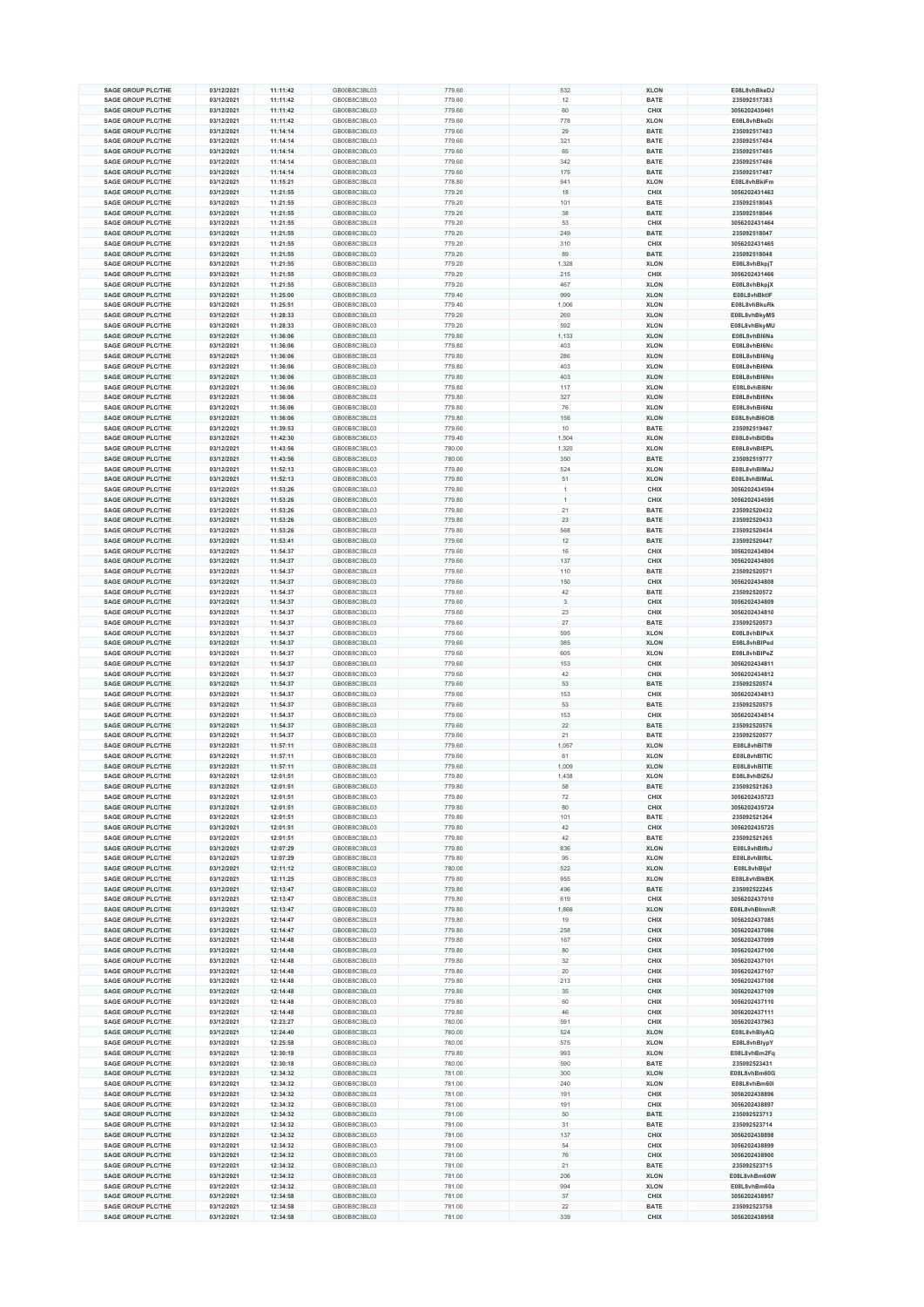|                                                        | 03/12/2021               |          |                              |        |                      |                            |                               |
|--------------------------------------------------------|--------------------------|----------|------------------------------|--------|----------------------|----------------------------|-------------------------------|
| <b>SAGE GROUP PLC/THE</b>                              |                          | 11:11:42 | GB00B8C3BL03                 | 779.60 | 532                  | <b>XLON</b>                | E08L8vhBkeDJ                  |
| <b>SAGE GROUP PLC/THE</b>                              | 03/12/2021               | 11:11:42 | GB00B8C3BL03                 | 779.60 | 12                   | <b>BATE</b>                | 235092517383                  |
| <b>SAGE GROUP PLC/THE</b>                              | 03/12/2021               | 11:11:42 | GB00B8C3BL03                 | 779.60 | 60                   | CHIX                       | 3056202430461                 |
| <b>SAGE GROUP PLC/THE</b>                              | 03/12/2021               | 11:11:42 | GB00B8C3BL03                 | 779.60 | 778                  | <b>XLON</b>                | E08L8vhBkeDi                  |
| <b>SAGE GROUP PLC/THE</b>                              | 03/12/2021               | 11:14:14 | GB00B8C3BL03                 | 779.60 | 29                   | <b>BATE</b>                | 235092517483                  |
| <b>SAGE GROUP PLC/THE</b>                              | 03/12/2021               | 11:14:14 | GB00B8C3BL03                 | 779.60 | 321                  | <b>BATE</b>                | 235092517484                  |
| <b>SAGE GROUP PLC/THE</b>                              | 03/12/2021               | 11:14:14 | GB00B8C3BL03                 | 779.60 | 65                   | <b>BATE</b>                | 235092517485                  |
| <b>SAGE GROUP PLC/THE</b>                              | 03/12/2021               | 11:14:14 | GB00B8C3BL03                 | 779.60 | 342                  | <b>BATE</b>                | 235092517486                  |
| <b>SAGE GROUP PLC/THE</b>                              | 03/12/2021               | 11:14:14 | GB00B8C3BL03                 | 779.60 | 175                  | <b>BATE</b>                | 235092517487                  |
| <b>SAGE GROUP PLC/THE</b>                              | 03/12/2021               | 11:15:21 | GB00B8C3BL03                 | 778.80 | 941                  | <b>XLON</b>                | E08L8vhBkiFm                  |
| SAGE GROUP PLC/THE                                     |                          |          |                              |        |                      |                            |                               |
|                                                        | 03/12/2021               | 11:21:55 | GB00B8C3BL03                 | 779.20 | 18                   | CHIX                       | 3056202431463                 |
| <b>SAGE GROUP PLC/THE</b>                              | 03/12/2021               | 11:21:55 | GB00B8C3BL03                 | 779.20 | 101                  | <b>BATE</b>                | 235092518045                  |
| <b>SAGE GROUP PLC/THE</b>                              | 03/12/2021               | 11:21:55 | GB00B8C3BL03                 | 779.20 | 38                   | <b>BATE</b>                | 235092518046                  |
| <b>SAGE GROUP PLC/THE</b>                              | 03/12/2021               | 11:21:55 | GB00B8C3BL03                 | 779.20 | 53                   | CHIX                       | 3056202431464                 |
| <b>SAGE GROUP PLC/THE</b>                              | 03/12/2021               | 11:21:55 | GB00B8C3BL03                 | 779.20 | 249                  | <b>BATE</b>                | 235092518047                  |
| SAGE GROUP PLC/THE                                     | 03/12/2021               | 11:21:55 | GB00B8C3BL03                 | 779.20 | 310                  | CHIX                       | 3056202431465                 |
| <b>SAGE GROUP PLC/THE</b>                              | 03/12/2021               | 11:21:55 | GB00B8C3BL03                 | 779.20 | 89                   | <b>BATE</b>                | 235092518048                  |
| <b>SAGE GROUP PLC/THE</b>                              | 03/12/2021               | 11:21:55 | GB00B8C3BL03                 | 779.20 | 1,328                | <b>XLON</b>                | E08L8vhBkpjT                  |
| <b>SAGE GROUP PLC/THE</b>                              |                          |          |                              |        |                      | CHIX                       | 3056202431466                 |
| <b>SAGE GROUP PLC/THE</b>                              | 03/12/2021               | 11:21:55 | GB00B8C3BL03                 | 779.20 | 215                  |                            |                               |
|                                                        | 03/12/2021               | 11:21:55 | GB00B8C3BL03                 | 779.20 | 467                  | <b>XLON</b>                | E08L8vhBkpjX                  |
| SAGE GROUP PLC/THE                                     | 03/12/2021               | 11:25:00 | GB00B8C3BL03                 | 779.40 | 999                  | <b>XLON</b>                | E08L8vhBktlF                  |
| <b>SAGE GROUP PLC/THE</b>                              | 03/12/2021               | 11:25:51 | GB00B8C3BL03                 | 779.40 | 1,006                | <b>XLON</b>                | E08L8vhBkuRk                  |
| <b>SAGE GROUP PLC/THE</b>                              | 03/12/2021               | 11:28:33 | GB00B8C3BL03                 | 779.20 | 269                  | <b>XLON</b>                | E08L8vhBkyMS                  |
| <b>SAGE GROUP PLC/THE</b>                              | 03/12/2021               | 11:28:33 | GB00B8C3BL03                 | 779.20 | 592                  | <b>XLON</b>                | E08L8vhBkyMU                  |
| <b>SAGE GROUP PLC/THE</b>                              | 03/12/2021               | 11:36:06 | GB00B8C3BL03                 | 779.80 | 1,133                | <b>XLON</b>                | E08L8vhBI6Na                  |
| <b>SAGE GROUP PLC/THE</b>                              | 03/12/2021               | 11:36:06 | GB00B8C3BL03                 | 779.80 | 403                  | <b>XLON</b>                | E08L8vhBI6Nc                  |
| <b>SAGE GROUP PLC/THE</b>                              | 03/12/2021               | 11:36:06 | GB00B8C3BL03                 | 779.80 | 286                  | <b>XLON</b>                | E08L8vhBI6Ng                  |
| <b>SAGE GROUP PLC/THE</b>                              | 03/12/2021               | 11:36:06 | GB00B8C3BL03                 | 779.80 | 403                  | <b>XLON</b>                | E08L8vhBI6Nk                  |
|                                                        |                          |          |                              |        |                      |                            |                               |
| <b>SAGE GROUP PLC/THE</b>                              | 03/12/2021               | 11:36:06 | GB00B8C3BL03                 | 779.80 | 403                  | <b>XLON</b>                | E08L8vhBI6Nn                  |
| <b>SAGE GROUP PLC/THE</b>                              | 03/12/2021               | 11:36:06 | GB00B8C3BL03                 | 779.80 | 117                  | <b>XLON</b>                | E08L8vhBI6Nr                  |
| SAGE GROUP PLC/THE                                     | 03/12/2021               | 11:36:06 | GB00B8C3BL03                 | 779.80 | 327                  | <b>XLON</b>                | E08L8vhBI6Nx                  |
| <b>SAGE GROUP PLC/THE</b>                              | 03/12/2021               | 11:36:06 | GB00B8C3BL03                 | 779.80 | 76                   | <b>XLON</b>                | E08L8vhBI6Nz                  |
| <b>SAGE GROUP PLC/THE</b>                              | 03/12/2021               | 11:36:06 | GB00B8C3BL03                 | 779.80 | 156                  | <b>XLON</b>                | E08L8vhBI6OB                  |
| <b>SAGE GROUP PLC/THE</b>                              | 03/12/2021               | 11:39:53 | GB00B8C3BL03                 | 779.60 | 10                   | <b>BATE</b>                | 235092519467                  |
| <b>SAGE GROUP PLC/THE</b>                              | 03/12/2021               | 11:42:30 | GB00B8C3BL03                 | 779.40 | 1,504                | <b>XLON</b>                | E08L8vhBIDBs                  |
| <b>SAGE GROUP PLC/THE</b>                              | 03/12/2021               | 11:43:56 | GB00B8C3BL03                 | 780.00 | 1,320                | <b>XLON</b>                | E08L8vhBIEPL                  |
| <b>SAGE GROUP PLC/THE</b>                              | 03/12/2021               | 11:43:56 | GB00B8C3BL03                 | 780.00 | 350                  | <b>BATE</b>                | 235092519777                  |
|                                                        |                          |          |                              |        |                      |                            |                               |
| <b>SAGE GROUP PLC/THE</b>                              | 03/12/2021               | 11:52:13 | GB00B8C3BL03                 | 779.80 | 524                  | <b>XLON</b>                | E08L8vhBIMaJ                  |
| <b>SAGE GROUP PLC/THE</b>                              | 03/12/2021               | 11:52:13 | GB00B8C3BL03                 | 779.80 | 51                   | <b>XLON</b>                | E08L8vhBlMaL                  |
| <b>SAGE GROUP PLC/THE</b>                              | 03/12/2021               | 11:53:26 | GB00B8C3BL03                 | 779.80 | 1                    | CHIX                       | 3056202434594                 |
| SAGE GROUP PLC/THE                                     | 03/12/2021               | 11:53:26 | GB00B8C3BL03                 | 779.80 | $\ddot{\phantom{1}}$ | CHIX                       | 3056202434595                 |
| <b>SAGE GROUP PLC/THE</b>                              | 03/12/2021               | 11:53:26 | GB00B8C3BL03                 | 779.80 | 21                   | <b>BATE</b>                | 235092520432                  |
| <b>SAGE GROUP PLC/THE</b>                              | 03/12/2021               | 11:53:26 | GB00B8C3BL03                 | 779.80 | 23                   | <b>BATE</b>                | 235092520433                  |
| <b>SAGE GROUP PLC/THE</b>                              | 03/12/2021               | 11:53:26 | GB00B8C3BL03                 | 779.80 | 568                  | <b>BATE</b>                | 235092520434                  |
| <b>SAGE GROUP PLC/THE</b>                              | 03/12/2021               | 11:53:41 | GB00B8C3BL03                 | 779.60 | 12                   | <b>BATE</b>                | 235092520447                  |
| <b>SAGE GROUP PLC/THE</b>                              | 03/12/2021               | 11:54:37 | GB00B8C3BL03                 | 779.60 | 16                   | CHIX                       | 3056202434804                 |
|                                                        |                          |          |                              |        |                      |                            |                               |
| <b>SAGE GROUP PLC/THE</b>                              | 03/12/2021               | 11:54:37 | GB00B8C3BL03                 | 779.60 | 137                  | CHIX                       | 3056202434805                 |
| <b>SAGE GROUP PLC/THE</b>                              | 03/12/2021               | 11:54:37 | GB00B8C3BL03                 | 779.60 | 110                  | <b>BATE</b>                | 235092520571                  |
| <b>SAGE GROUP PLC/THE</b>                              | 03/12/2021               | 11:54:37 | GB00B8C3BL03                 | 779.60 | 150                  | CHIX                       | 3056202434808                 |
| <b>SAGE GROUP PLC/THE</b>                              | 03/12/2021               | 11:54:37 | GB00B8C3BL03                 | 779.60 | 42                   | <b>BATE</b>                | 235092520572                  |
| <b>SAGE GROUP PLC/THE</b>                              | 03/12/2021               | 11:54:37 | GB00B8C3BL03                 | 779.60 | 3                    | CHIX                       | 3056202434809                 |
| <b>SAGE GROUP PLC/THE</b>                              | 03/12/2021               | 11:54:37 | GB00B8C3BL03                 | 779.60 | 23                   | CHIX                       | 3056202434810                 |
| <b>SAGE GROUP PLC/THE</b>                              | 03/12/2021               | 11:54:37 | GB00B8C3BL03                 | 779.60 | 27                   | <b>BATE</b>                | 235092520573                  |
| <b>SAGE GROUP PLC/THE</b>                              | 03/12/2021               | 11:54:37 | GB00B8C3BL03                 | 779.60 | 595                  | <b>XLON</b>                | E08L8vhBIPeX                  |
| <b>SAGE GROUP PLC/THE</b>                              | 03/12/2021               | 11:54:37 | GB00B8C3BL03                 | 779.60 | 385                  | <b>XLON</b>                | E08L8vhBIPed                  |
| <b>SAGE GROUP PLC/THE</b>                              | 03/12/2021               | 11:54:37 | GB00B8C3BL03                 | 779.60 | 605                  | <b>XLON</b>                | E08L8vhBIPeZ                  |
|                                                        |                          |          |                              |        |                      |                            |                               |
| <b>SAGE GROUP PLC/THE</b>                              | 03/12/2021               | 11:54:37 | GB00B8C3BL03                 | 779.60 | 153                  | CHIX                       | 3056202434811                 |
| <b>SAGE GROUP PLC/THE</b>                              | 03/12/2021               | 11:54:37 | GB00B8C3BL03                 | 779.60 | 42                   | CHIX                       | 3056202434812                 |
| <b>SAGE GROUP PLC/THE</b>                              | 03/12/2021               | 11:54:37 | GB00B8C3BL03                 | 779.60 | 53                   | <b>BATE</b>                | 235092520574                  |
| <b>SAGE GROUP PLC/THE</b>                              | 03/12/2021               | 11:54:37 | GB00B8C3BL03                 | 779.60 | 153                  | CHIX                       | 3056202434813                 |
| SAGE GROUP PLC/THE                                     | 03/12/2021               | 11:54:37 | GB00B8C3BL03                 | 779.60 | 53                   | <b>BATE</b>                | 235092520575                  |
| <b>SAGE GROUP PLC/THE</b>                              | 03/12/2021               | 11:54:37 | GB00B8C3BL03                 | 779.60 | 153                  | CHIX                       | 3056202434814                 |
| <b>SAGE GROUP PLC/THE</b>                              | 03/12/2021               | 11:54:37 | GB00B8C3BL03                 | 779.60 | 22                   | <b>BATE</b>                | 235092520576                  |
| <b>SAGE GROUP PLC/THE</b>                              | 03/12/2021               | 11:54:37 | GB00B8C3BL03                 | 779.60 | 21                   | <b>BATE</b>                | 235092520577                  |
| SAGE GROUP PLC/THE                                     | 03/12/2021               | 11:57:11 | GB00B8C3BL03                 | 779.60 | 1,057                | <b>XLON</b>                | E08L8vhBITI9                  |
| SAGE GROUP PLC/THE                                     | 03/12/2021               |          | GB00B8C3BL03                 | 779.60 | 61                   | <b>XLON</b>                | E08L8vhBITIC                  |
|                                                        |                          | 11:57:11 |                              |        |                      |                            |                               |
| <b>SAGE GROUP PLC/THE</b>                              | 03/12/2021               | 11:57:11 | GB00B8C3BL03                 | 779.60 | 1,009                | <b>XLON</b>                | E08L8vhBITIE                  |
| <b>SAGE GROUP PLC/THE</b>                              | 03/12/2021               | 12:01:51 | GB00B8C3BL03                 | 779.80 | 1,438                | <b>XLON</b>                | E08L8vhBIZ6J                  |
| <b>SAGE GROUP PLC/THE</b>                              | 03/12/2021               | 12:01:51 | GB00B8C3BL03                 | 779.80 | 58                   | BATE                       | 235092521263                  |
| <b>SAGE GROUP PLC/THE</b>                              | 03/12/2021               | 12:01:51 | GB00B8C3BL03                 | 779.80 | 72                   | CHIX                       | 3056202435723                 |
| <b>SAGE GROUP PLC/THE</b>                              | 03/12/2021               | 12:01:51 | GB00B8C3BL03                 | 779.80 | 80                   | CHIX                       | 3056202435724                 |
| <b>SAGE GROUP PLC/THE</b>                              | 03/12/2021               | 12:01:51 | GB00B8C3BL03                 | 779.80 | 101                  | <b>BATE</b>                | 235092521264                  |
| <b>SAGE GROUP PLC/THE</b>                              | 03/12/2021               | 12:01:51 | GB00B8C3BL03                 | 779.80 | 42                   | CHIX                       | 3056202435725                 |
| <b>SAGE GROUP PLC/THE</b>                              | 03/12/2021               | 12:01:51 | GB00B8C3BL03                 | 779.80 | 42                   | <b>BATE</b>                | 235092521265                  |
|                                                        |                          |          |                              |        |                      |                            |                               |
| <b>SAGE GROUP PLC/THE</b><br><b>SAGE GROUP PLC/THE</b> | 03/12/2021<br>03/12/2021 | 12:07:29 | GB00B8C3BL03<br>GB00B8C3BL03 | 779.80 | 836<br>95            | <b>XLON</b><br><b>XLON</b> | E08L8vhBlfbJ                  |
|                                                        |                          | 12:07:29 |                              | 779.80 |                      |                            | E08L8vhBlfbL                  |
| <b>SAGE GROUP PLC/THE</b>                              | 03/12/2021               | 12:11:12 | GB00B8C3BL03                 | 780.00 | 522                  | <b>XLON</b>                | E08L8vhBljsf                  |
| <b>SAGE GROUP PLC/THE</b>                              | 03/12/2021               | 12:11:25 | GB00B8C3BL03                 | 779.80 | 955                  | <b>XLON</b>                | E08L8vhBlkBK                  |
| <b>SAGE GROUP PLC/THE</b>                              | 03/12/2021               | 12:13:47 | GB00B8C3BL03                 | 779.80 | 496                  | <b>BATE</b>                | 235092522245                  |
| <b>SAGE GROUP PLC/THE</b>                              | 03/12/2021               | 12:13:47 | GB00B8C3BL03                 | 779.80 | 619                  | CHIX                       | 3056202437010                 |
| <b>SAGE GROUP PLC/THE</b>                              | 03/12/2021               | 12:13:47 | GB00B8C3BL03                 | 779.80 | 1,866                | <b>XLON</b>                | E08L8vhBlmmR                  |
| <b>SAGE GROUP PLC/THE</b>                              | 03/12/2021               | 12:14:47 | GB00B8C3BL03                 | 779.80 | 19                   | CHIX                       | 3056202437085                 |
| <b>SAGE GROUP PLC/THE</b>                              | 03/12/2021               | 12:14:47 | GB00B8C3BL03                 | 779.80 | 258                  | CHIX                       | 3056202437086                 |
| <b>SAGE GROUP PLC/THE</b>                              | 03/12/2021               | 12:14:48 | GB00B8C3BL03                 | 779.80 | 167                  | CHIX                       | 3056202437099                 |
| <b>SAGE GROUP PLC/THE</b>                              | 03/12/2021               | 12:14:48 | GB00B8C3BL03                 | 779.80 | 80                   | CHIX                       | 3056202437100                 |
| <b>SAGE GROUP PLC/THE</b>                              | 03/12/2021               | 12:14:48 | GB00B8C3BL03                 | 779.80 | 32                   | CHIX                       | 3056202437101                 |
| <b>SAGE GROUP PLC/THE</b>                              |                          |          |                              |        |                      |                            |                               |
|                                                        | 03/12/2021               | 12:14:48 | GB00B8C3BL03                 | 779.80 | 20                   | CHIX                       | 3056202437107                 |
| <b>SAGE GROUP PLC/THE</b>                              | 03/12/2021               | 12:14:48 | GB00B8C3BL03                 | 779.80 | 213                  | CHIX                       | 3056202437108                 |
| <b>SAGE GROUP PLC/THE</b>                              | 03/12/2021               | 12:14:48 | GB00B8C3BL03                 | 779.80 | 35                   | CHIX                       | 3056202437109                 |
| <b>SAGE GROUP PLC/THE</b>                              | 03/12/2021               | 12:14:48 | GB00B8C3BL03                 | 779.80 | 60                   | CHIX                       | 3056202437110                 |
| <b>SAGE GROUP PLC/THE</b>                              | 03/12/2021               | 12:14:48 | GB00B8C3BL03                 | 779.80 | 46                   | CHIX                       | 3056202437111                 |
| <b>SAGE GROUP PLC/THE</b>                              | 03/12/2021               | 12:23:27 | GB00B8C3BL03                 | 780.00 | 591                  | CHIX                       | 3056202437963                 |
| <b>SAGE GROUP PLC/THE</b>                              | 03/12/2021               | 12:24:40 | GB00B8C3BL03                 | 780.00 | 524                  | <b>XLON</b>                | E08L8vhBlyAQ                  |
| <b>SAGE GROUP PLC/THE</b>                              | 03/12/2021               | 12:25:58 | GB00B8C3BL03                 | 780.00 | 575                  | <b>XLON</b>                | E08L8vhBlypY                  |
| <b>SAGE GROUP PLC/THE</b>                              | 03/12/2021               | 12:30:18 | GB00B8C3BL03                 | 779.80 | 993                  | <b>XLON</b>                | E08L8vhBm2Fq                  |
| <b>SAGE GROUP PLC/THE</b>                              | 03/12/2021               | 12:30:18 | GB00B8C3BL03                 | 780.00 | 590                  | <b>BATE</b>                | 235092523431                  |
|                                                        |                          |          |                              |        |                      |                            |                               |
| <b>SAGE GROUP PLC/THE</b>                              | 03/12/2021               | 12:34:32 | GB00B8C3BL03                 | 781.00 | 300                  | <b>XLON</b>                | E08L8vhBm60G                  |
| <b>SAGE GROUP PLC/THE</b>                              |                          | 12:34:32 | GB00B8C3BL03                 | 781.00 | 240                  | <b>XLON</b>                | E08L8vhBm60I                  |
| <b>SAGE GROUP PLC/THE</b>                              | 03/12/2021               |          |                              | 781.00 | 191                  | CHIX                       | 3056202438896                 |
| <b>SAGE GROUP PLC/THE</b>                              | 03/12/2021               | 12:34:32 | GB00B8C3BL03                 |        |                      |                            |                               |
|                                                        | 03/12/2021               | 12:34:32 | GB00B8C3BL03                 | 781.00 | 191                  | CHIX                       | 3056202438897                 |
| <b>SAGE GROUP PLC/THE</b>                              | 03/12/2021               | 12:34:32 | GB00B8C3BL03                 | 781.00 | 50                   | <b>BATE</b>                | 235092523713                  |
| <b>SAGE GROUP PLC/THE</b>                              | 03/12/2021               | 12:34:32 | GB00B8C3BL03                 | 781.00 | 31                   | <b>BATE</b>                | 235092523714                  |
|                                                        |                          |          |                              |        |                      |                            | 3056202438898                 |
| <b>SAGE GROUP PLC/THE</b>                              | 03/12/2021               | 12:34:32 | GB00B8C3BL03                 | 781.00 | 137                  | CHIX                       |                               |
| <b>SAGE GROUP PLC/THE</b>                              | 03/12/2021               | 12:34:32 | GB00B8C3BL03                 | 781.00 | 54                   | CHIX                       | 3056202438899                 |
| <b>SAGE GROUP PLC/THE</b>                              | 03/12/2021               | 12:34:32 | GB00B8C3BL03                 | 781.00 | 76                   | CHIX                       | 3056202438900                 |
| <b>SAGE GROUP PLC/THE</b>                              | 03/12/2021               | 12:34:32 | GB00B8C3BL03                 | 781.00 | 21                   | <b>BATE</b>                | 235092523715                  |
| <b>SAGE GROUP PLC/THE</b>                              | 03/12/2021               | 12:34:32 | GB00B8C3BL03                 | 781.00 | 206                  | <b>XLON</b>                | E08L8vhBm60W                  |
| <b>SAGE GROUP PLC/THE</b>                              | 03/12/2021               | 12:34:32 | GB00B8C3BL03                 | 781.00 | 994                  | <b>XLON</b>                | E08L8vhBm60a                  |
| <b>SAGE GROUP PLC/THE</b>                              | 03/12/2021               | 12:34:58 | GB00B8C3BL03                 | 781.00 | 37                   | CHIX                       | 3056202438957                 |
| <b>SAGE GROUP PLC/THE</b><br><b>SAGE GROUP PLC/THE</b> | 03/12/2021<br>03/12/2021 | 12:34:58 | GB00B8C3BL03<br>GB00B8C3BL03 | 781.00 | 22<br>339            | BATE<br>CHIX               | 235092523758<br>3056202438958 |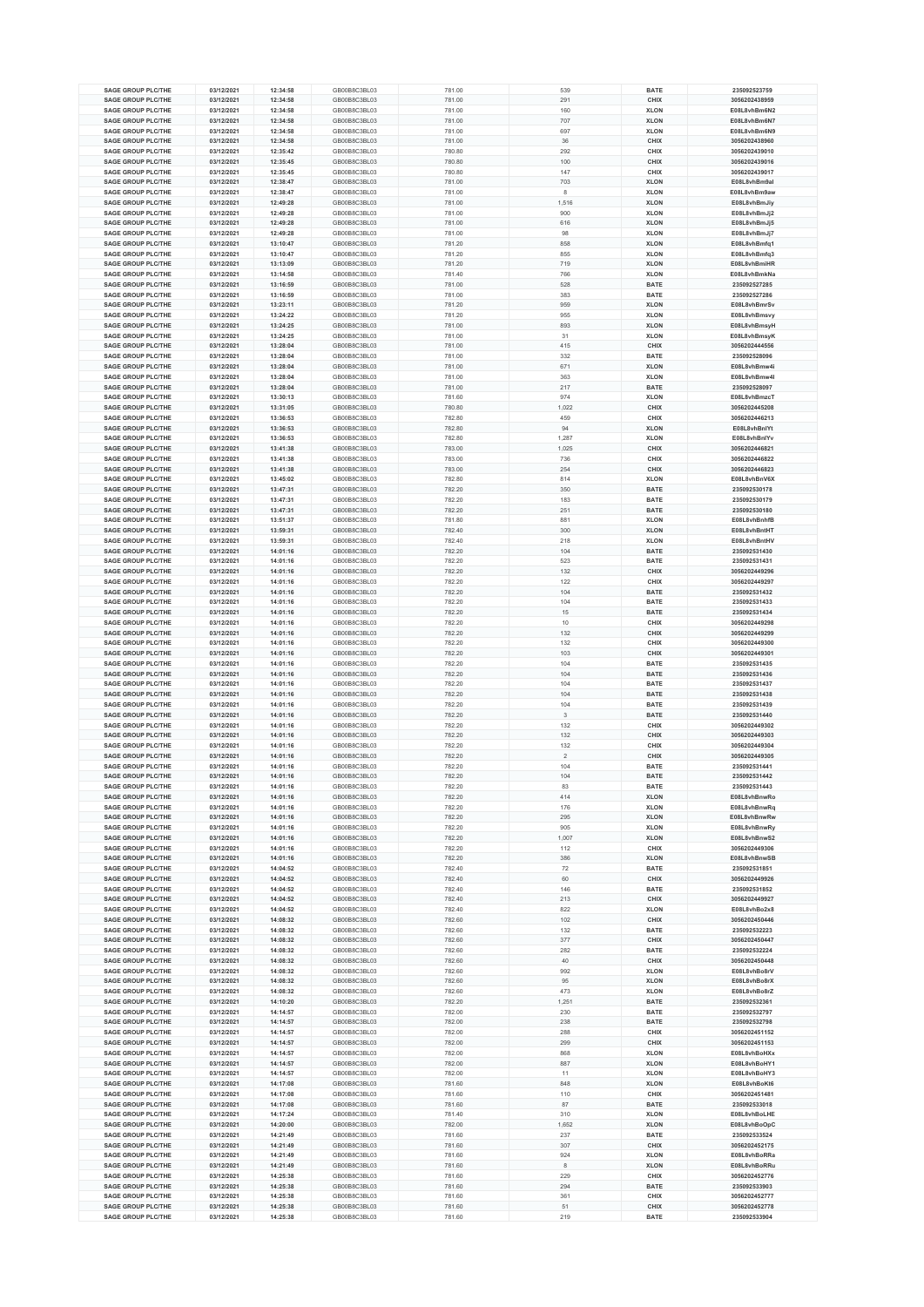| <b>SAGE GROUP PLC/THE</b> | 03/12/2021 | 12:34:58 | GB00B8C3BL03 | 781.00 | 539                     | <b>BATE</b> | 235092523759  |
|---------------------------|------------|----------|--------------|--------|-------------------------|-------------|---------------|
| <b>SAGE GROUP PLC/THE</b> | 03/12/2021 | 12:34:58 | GB00B8C3BL03 | 781.00 | 291                     | CHIX        | 3056202438959 |
| <b>SAGE GROUP PLC/THE</b> | 03/12/2021 | 12:34:58 | GB00B8C3BL03 | 781.00 | 160                     | <b>XLON</b> | E08L8vhBm6N2  |
| <b>SAGE GROUP PLC/THE</b> | 03/12/2021 | 12:34:58 | GB00B8C3BL03 | 781.00 | 707                     | <b>XLON</b> | E08L8vhBm6N7  |
| <b>SAGE GROUP PLC/THE</b> | 03/12/2021 | 12:34:58 | GB00B8C3BL03 | 781.00 | 697                     | <b>XLON</b> | E08L8vhBm6N9  |
| <b>SAGE GROUP PLC/THE</b> | 03/12/2021 | 12:34:58 | GB00B8C3BL03 | 781.00 | 36                      | CHIX        | 3056202438960 |
| <b>SAGE GROUP PLC/THE</b> |            |          | GB00B8C3BL03 |        | 292                     |             | 3056202439010 |
|                           | 03/12/2021 | 12:35:42 |              | 780.80 |                         | CHIX        |               |
| <b>SAGE GROUP PLC/THE</b> | 03/12/2021 | 12:35:45 | GB00B8C3BL03 | 780.80 | 100                     | CHIX        | 3056202439016 |
| <b>SAGE GROUP PLC/THE</b> | 03/12/2021 | 12:35:45 | GB00B8C3BL03 | 780.80 | 147                     | CHIX        | 3056202439017 |
| <b>SAGE GROUP PLC/THE</b> | 03/12/2021 | 12:38:47 | GB00B8C3BL03 | 781.00 | 703                     | <b>XLON</b> | E08L8vhBm9al  |
| <b>SAGE GROUP PLC/THE</b> | 03/12/2021 | 12:38:47 | GB00B8C3BL03 | 781.00 | 8                       | <b>XLON</b> | E08L8vhBm9aw  |
| <b>SAGE GROUP PLC/THE</b> | 03/12/2021 | 12:49:28 | GB00B8C3BL03 | 781.00 | 1,516                   | <b>XLON</b> | E08L8vhBmJiy  |
| <b>SAGE GROUP PLC/THE</b> | 03/12/2021 | 12:49:28 | GB00B8C3BL03 | 781.00 | 900                     | <b>XLON</b> | E08L8vhBmJj2  |
| <b>SAGE GROUP PLC/THE</b> | 03/12/2021 | 12:49:28 | GB00B8C3BL03 | 781.00 | 616                     | <b>XLON</b> | E08L8vhBmJj5  |
| <b>SAGE GROUP PLC/THE</b> | 03/12/2021 | 12:49:28 | GB00B8C3BL03 | 781.00 | 98                      | <b>XLON</b> | E08L8vhBmJj7  |
| <b>SAGE GROUP PLC/THE</b> | 03/12/2021 | 13:10:47 | GB00B8C3BL03 | 781.20 | 858                     | <b>XLON</b> | E08L8vhBmfq1  |
| <b>SAGE GROUP PLC/THE</b> |            |          | GB00B8C3BL03 |        | 855                     | <b>XLON</b> |               |
|                           | 03/12/2021 | 13:10:47 |              | 781.20 |                         |             | E08L8vhBmfq3  |
| <b>SAGE GROUP PLC/THE</b> | 03/12/2021 | 13:13:09 | GB00B8C3BL03 | 781.20 | 719                     | <b>XLON</b> | E08L8vhBmiHR  |
| <b>SAGE GROUP PLC/THE</b> | 03/12/2021 | 13:14:58 | GB00B8C3BL03 | 781.40 | 766                     | <b>XLON</b> | E08L8vhBmkNa  |
| <b>SAGE GROUP PLC/THE</b> | 03/12/2021 | 13:16:59 | GB00B8C3BL03 | 781.00 | 528                     | <b>BATE</b> | 235092527285  |
| SAGE GROUP PLC/THE        | 03/12/2021 | 13:16:59 | GB00B8C3BL03 | 781.00 | 383                     | <b>BATE</b> | 235092527286  |
| <b>SAGE GROUP PLC/THE</b> | 03/12/2021 | 13:23:11 | GB00B8C3BL03 | 781.20 | 959                     | <b>XLON</b> | E08L8vhBmrSv  |
| <b>SAGE GROUP PLC/THE</b> | 03/12/2021 | 13:24:22 | GB00B8C3BL03 | 781.20 | 955                     | <b>XLON</b> | E08L8vhBmsvy  |
| <b>SAGE GROUP PLC/THE</b> | 03/12/2021 | 13:24:25 | GB00B8C3BL03 | 781.00 | 893                     | <b>XLON</b> | E08L8vhBmsyH  |
| <b>SAGE GROUP PLC/THE</b> | 03/12/2021 | 13:24:25 | GB00B8C3BL03 | 781.00 | 31                      | <b>XLON</b> | E08L8vhBmsyK  |
| <b>SAGE GROUP PLC/THE</b> | 03/12/2021 | 13:28:04 | GB00B8C3BL03 | 781.00 | 415                     | CHIX        | 3056202444556 |
| <b>SAGE GROUP PLC/THE</b> | 03/12/2021 | 13:28:04 | GB00B8C3BL03 | 781.00 | 332                     | <b>BATE</b> | 235092528096  |
| <b>SAGE GROUP PLC/THE</b> | 03/12/2021 | 13:28:04 | GB00B8C3BL03 | 781.00 | 671                     | <b>XLON</b> | E08L8vhBmw4i  |
| <b>SAGE GROUP PLC/THE</b> | 03/12/2021 | 13:28:04 | GB00B8C3BL03 | 781.00 | 363                     | <b>XLON</b> | E08L8vhBmw4l  |
|                           |            |          |              |        |                         |             |               |
| <b>SAGE GROUP PLC/THE</b> | 03/12/2021 | 13:28:04 | GB00B8C3BL03 | 781.00 | 217                     | <b>BATE</b> | 235092528097  |
| <b>SAGE GROUP PLC/THE</b> | 03/12/2021 | 13:30:13 | GB00B8C3BL03 | 781.60 | 974                     | <b>XLON</b> | E08L8vhBmzcT  |
| <b>SAGE GROUP PLC/THE</b> | 03/12/2021 | 13:31:05 | GB00B8C3BL03 | 780.80 | 1,022                   | CHIX        | 3056202445208 |
| <b>SAGE GROUP PLC/THE</b> | 03/12/2021 | 13:36:53 | GB00B8C3BL03 | 782.80 | 459                     | <b>CHIX</b> | 3056202446213 |
| <b>SAGE GROUP PLC/THE</b> | 03/12/2021 | 13:36:53 | GB00B8C3BL03 | 782.80 | 94                      | <b>XLON</b> | E08L8vhBnIYt  |
| <b>SAGE GROUP PLC/THE</b> | 03/12/2021 | 13:36:53 | GB00B8C3BL03 | 782.80 | 1,287                   | <b>XLON</b> | E08L8vhBnlYv  |
| <b>SAGE GROUP PLC/THE</b> | 03/12/2021 | 13:41:38 | GB00B8C3BL03 | 783.00 | 1,025                   | CHIX        | 3056202446821 |
| <b>SAGE GROUP PLC/THE</b> | 03/12/2021 | 13:41:38 | GB00B8C3BL03 | 783.00 | 736                     | CHIX        | 3056202446822 |
| <b>SAGE GROUP PLC/THE</b> | 03/12/2021 | 13:41:38 | GB00B8C3BL03 | 783.00 | 254                     | CHIX        | 3056202446823 |
| <b>SAGE GROUP PLC/THE</b> | 03/12/2021 | 13:45:02 | GB00B8C3BL03 | 782.80 | 814                     | <b>XLON</b> | E08L8vhBnV6X  |
|                           |            |          |              |        |                         |             |               |
| <b>SAGE GROUP PLC/THE</b> | 03/12/2021 | 13:47:31 | GB00B8C3BL03 | 782.20 | 350                     | <b>BATE</b> | 235092530178  |
| <b>SAGE GROUP PLC/THE</b> | 03/12/2021 | 13:47:31 | GB00B8C3BL03 | 782.20 | 183                     | <b>BATE</b> | 235092530179  |
| <b>SAGE GROUP PLC/THE</b> | 03/12/2021 | 13:47:31 | GB00B8C3BL03 | 782.20 | 251                     | <b>BATE</b> | 235092530180  |
| <b>SAGE GROUP PLC/THE</b> | 03/12/2021 | 13:51:37 | GB00B8C3BL03 | 781.80 | 881                     | <b>XLON</b> | E08L8vhBnhfB  |
| <b>SAGE GROUP PLC/THE</b> | 03/12/2021 | 13:59:31 | GB00B8C3BL03 | 782.40 | 300                     | <b>XLON</b> | E08L8vhBntHT  |
| <b>SAGE GROUP PLC/THE</b> | 03/12/2021 | 13:59:31 | GB00B8C3BL03 | 782.40 | 218                     | <b>XLON</b> | E08L8vhBntHV  |
| <b>SAGE GROUP PLC/THE</b> | 03/12/2021 | 14:01:16 | GB00B8C3BL03 | 782.20 | 104                     | <b>BATE</b> | 235092531430  |
| <b>SAGE GROUP PLC/THE</b> | 03/12/2021 | 14:01:16 | GB00B8C3BL03 | 782.20 | 523                     | <b>BATE</b> | 235092531431  |
| <b>SAGE GROUP PLC/THE</b> | 03/12/2021 | 14:01:16 | GB00B8C3BL03 | 782.20 | 132                     | CHIX        | 3056202449296 |
| <b>SAGE GROUP PLC/THE</b> | 03/12/2021 | 14:01:16 | GB00B8C3BL03 | 782.20 | 122                     | CHIX        | 3056202449297 |
| <b>SAGE GROUP PLC/THE</b> |            |          | GB00B8C3BL03 |        |                         | <b>BATE</b> | 235092531432  |
|                           | 03/12/2021 | 14:01:16 |              | 782.20 | 104                     |             |               |
| <b>SAGE GROUP PLC/THE</b> | 03/12/2021 | 14:01:16 | GB00B8C3BL03 | 782.20 | 104                     | <b>BATE</b> | 235092531433  |
| <b>SAGE GROUP PLC/THE</b> | 03/12/2021 | 14:01:16 | GB00B8C3BL03 | 782.20 | 15                      | <b>BATE</b> | 235092531434  |
| <b>SAGE GROUP PLC/THE</b> | 03/12/2021 | 14:01:16 | GB00B8C3BL03 | 782.20 | 10                      | CHIX        | 3056202449298 |
| <b>SAGE GROUP PLC/THE</b> | 03/12/2021 | 14:01:16 | GB00B8C3BL03 | 782.20 | 132                     | CHIX        | 3056202449299 |
| <b>SAGE GROUP PLC/THE</b> | 03/12/2021 | 14:01:16 | GB00B8C3BL03 | 782.20 | 132                     | CHIX        | 3056202449300 |
| <b>SAGE GROUP PLC/THE</b> | 03/12/2021 | 14:01:16 | GB00B8C3BL03 | 782.20 | 103                     | CHIX        | 3056202449301 |
| <b>SAGE GROUP PLC/THE</b> | 03/12/2021 | 14:01:16 | GB00B8C3BL03 | 782.20 | 104                     | <b>BATE</b> | 235092531435  |
| <b>SAGE GROUP PLC/THE</b> | 03/12/2021 | 14:01:16 | GB00B8C3BL03 | 782.20 | 104                     | <b>BATE</b> | 235092531436  |
| <b>SAGE GROUP PLC/THE</b> | 03/12/2021 | 14:01:16 | GB00B8C3BL03 | 782.20 | 104                     | <b>BATE</b> | 235092531437  |
| <b>SAGE GROUP PLC/THE</b> | 03/12/2021 | 14:01:16 | GB00B8C3BL03 | 782.20 | 104                     | <b>BATE</b> | 235092531438  |
| <b>SAGE GROUP PLC/THE</b> | 03/12/2021 | 14:01:16 | GB00B8C3BL03 | 782.20 | 104                     | <b>BATE</b> | 235092531439  |
|                           |            |          |              |        |                         |             |               |
| <b>SAGE GROUP PLC/THE</b> | 03/12/2021 | 14:01:16 | GB00B8C3BL03 | 782.20 | 3                       | <b>BATE</b> | 235092531440  |
| <b>SAGE GROUP PLC/THE</b> | 03/12/2021 | 14:01:16 | GB00B8C3BL03 | 782.20 | 132                     | <b>CHIX</b> | 3056202449302 |
| <b>SAGE GROUP PLC/THE</b> | 03/12/2021 | 14:01:16 | GB00B8C3BL03 | 782.20 | 132                     | CHIX        | 3056202449303 |
| <b>SAGE GROUP PLC/THE</b> | 03/12/2021 | 14:01:16 | GB00B8C3BL03 | 782.20 | 132                     | <b>CHIX</b> | 3056202449304 |
| <b>SAGE GROUP PLC/THE</b> | 03/12/2021 | 14:01:16 | GB00B8C3BL03 | 782.20 | $\overline{\mathbf{2}}$ | <b>CHIX</b> | 3056202449305 |
| <b>SAGE GROUP PLC/THE</b> | 03/12/2021 | 14:01:16 | GB00B8C3BL03 | 782.20 | 104                     | <b>BATE</b> | 235092531441  |
| <b>SAGE GROUP PLC/THE</b> | 03/12/2021 | 14:01:16 | GB00B8C3BL03 | 782.20 | 104                     | <b>BATE</b> | 235092531442  |
| <b>SAGE GROUP PLC/THE</b> | 03/12/2021 | 14:01:16 | GB00B8C3BL03 | 782.20 | 83                      | <b>BATE</b> | 235092531443  |
| <b>SAGE GROUP PLC/THE</b> | 03/12/2021 | 14:01:16 | GB00B8C3BL03 | 782.20 | 414                     | <b>XLON</b> | E08L8vhBnwRo  |
| <b>SAGE GROUP PLC/THE</b> | 03/12/2021 | 14:01:16 | GB00B8C3BL03 | 782.20 | 176                     | <b>XLON</b> | E08L8vhBnwRq  |
| <b>SAGE GROUP PLC/THE</b> | 03/12/2021 | 14:01:16 | GB00B8C3BL03 | 782.20 | 295                     | <b>XLON</b> | E08L8vhBnwRw  |
| <b>SAGE GROUP PLC/THE</b> | 03/12/2021 | 14:01:16 | GB00B8C3BL03 | 782.20 | 905                     | <b>XLON</b> | E08L8vhBnwRy  |
| <b>SAGE GROUP PLC/THE</b> | 03/12/2021 | 14:01:16 | GB00B8C3BL03 | 782.20 | 1,007                   | <b>XLON</b> | E08L8vhBnwS2  |
|                           |            |          |              |        |                         |             |               |
| <b>SAGE GROUP PLC/THE</b> | 03/12/2021 | 14:01:16 | GB00B8C3BL03 | 782.20 | 112                     | CHIX        | 3056202449306 |
| <b>SAGE GROUP PLC/THE</b> | 03/12/2021 | 14:01:16 | GB00B8C3BL03 | 782.20 | 386                     | <b>XLON</b> | E08L8vhBnwSB  |
| <b>SAGE GROUP PLC/THE</b> | 03/12/2021 | 14:04:52 | GB00B8C3BL03 | 782.40 | 72                      | <b>BATE</b> | 235092531851  |
| <b>SAGE GROUP PLC/THE</b> | 03/12/2021 | 14:04:52 | GB00B8C3BL03 | 782.40 | 60                      | CHIX        | 3056202449926 |
| <b>SAGE GROUP PLC/THE</b> | 03/12/2021 | 14:04:52 | GB00B8C3BL03 | 782.40 | 146                     | <b>BATE</b> | 235092531852  |
| <b>SAGE GROUP PLC/THE</b> | 03/12/2021 | 14:04:52 | GB00B8C3BL03 | 782.40 | 213                     | CHIX        | 3056202449927 |
| <b>SAGE GROUP PLC/THE</b> | 03/12/2021 | 14:04:52 | GB00B8C3BL03 | 782.40 | 822                     | <b>XLON</b> | E08L8vhBo2x8  |
| <b>SAGE GROUP PLC/THE</b> | 03/12/2021 | 14:08:32 | GB00B8C3BL03 | 782.60 | 102                     | CHIX        | 3056202450446 |
| <b>SAGE GROUP PLC/THE</b> | 03/12/2021 | 14:08:32 | GB00B8C3BL03 | 782.60 | 132                     | <b>BATE</b> | 235092532223  |
| <b>SAGE GROUP PLC/THE</b> | 03/12/2021 | 14:08:32 | GB00B8C3BL03 | 782.60 | 377                     | CHIX        | 3056202450447 |
| <b>SAGE GROUP PLC/THE</b> | 03/12/2021 | 14:08:32 | GB00B8C3BL03 | 782.60 | 282                     | <b>BATE</b> | 235092532224  |
| <b>SAGE GROUP PLC/THE</b> | 03/12/2021 | 14:08:32 | GB00B8C3BL03 | 782.60 | 40                      | CHIX        | 3056202450448 |
| <b>SAGE GROUP PLC/THE</b> | 03/12/2021 | 14:08:32 | GB00B8C3BL03 | 782.60 | 992                     | <b>XLON</b> | E08L8vhBo8rV  |
| <b>SAGE GROUP PLC/THE</b> | 03/12/2021 | 14:08:32 | GB00B8C3BL03 | 782.60 | 95                      | <b>XLON</b> | E08L8vhBo8rX  |
| <b>SAGE GROUP PLC/THE</b> | 03/12/2021 | 14:08:32 | GB00B8C3BL03 | 782.60 | 473                     | <b>XLON</b> | E08L8vhBo8rZ  |
| <b>SAGE GROUP PLC/THE</b> | 03/12/2021 | 14:10:20 | GB00B8C3BL03 | 782.20 |                         | <b>BATE</b> | 235092532361  |
|                           |            |          |              |        | 1,251                   |             |               |
| <b>SAGE GROUP PLC/THE</b> | 03/12/2021 | 14:14:57 | GB00B8C3BL03 | 782.00 | 230                     | <b>BATE</b> | 235092532797  |
| <b>SAGE GROUP PLC/THE</b> | 03/12/2021 | 14:14:57 | GB00B8C3BL03 | 782.00 | 238                     | <b>BATE</b> | 235092532798  |
| <b>SAGE GROUP PLC/THE</b> | 03/12/2021 | 14:14:57 | GB00B8C3BL03 | 782.00 | 288                     | CHIX        | 3056202451152 |
| <b>SAGE GROUP PLC/THE</b> | 03/12/2021 | 14:14:57 | GB00B8C3BL03 | 782.00 | 299                     | CHIX        | 3056202451153 |
| <b>SAGE GROUP PLC/THE</b> | 03/12/2021 | 14:14:57 | GB00B8C3BL03 | 782.00 | 868                     | <b>XLON</b> | E08L8vhBoHXx  |
| <b>SAGE GROUP PLC/THE</b> | 03/12/2021 | 14:14:57 | GB00B8C3BL03 | 782.00 | 887                     | <b>XLON</b> | E08L8vhBoHY1  |
| <b>SAGE GROUP PLC/THE</b> | 03/12/2021 | 14:14:57 | GB00B8C3BL03 | 782.00 | 11                      | <b>XLON</b> | E08L8vhBoHY3  |
| <b>SAGE GROUP PLC/THE</b> | 03/12/2021 | 14:17:08 | GB00B8C3BL03 | 781.60 | 848                     | <b>XLON</b> | E08L8vhBoKt6  |
| <b>SAGE GROUP PLC/THE</b> | 03/12/2021 | 14:17:08 | GB00B8C3BL03 | 781.60 | 110                     | CHIX        | 3056202451481 |
| <b>SAGE GROUP PLC/THE</b> | 03/12/2021 | 14:17:08 | GB00B8C3BL03 | 781.60 | 87                      | <b>BATE</b> | 235092533018  |
| <b>SAGE GROUP PLC/THE</b> | 03/12/2021 | 14:17:24 | GB00B8C3BL03 | 781.40 | 310                     | <b>XLON</b> | E08L8vhBoLHE  |
| <b>SAGE GROUP PLC/THE</b> |            |          | GB00B8C3BL03 |        |                         | <b>XLON</b> |               |
|                           | 03/12/2021 | 14:20:00 |              | 782.00 | 1,652                   |             | E08L8vhBoOpC  |
| <b>SAGE GROUP PLC/THE</b> | 03/12/2021 | 14:21:49 | GB00B8C3BL03 | 781.60 | 237                     | <b>BATE</b> | 235092533524  |
| <b>SAGE GROUP PLC/THE</b> | 03/12/2021 | 14:21:49 | GB00B8C3BL03 | 781.60 | 307                     | CHIX        | 3056202452175 |
| <b>SAGE GROUP PLC/THE</b> | 03/12/2021 | 14:21:49 | GB00B8C3BL03 | 781.60 | 924                     | <b>XLON</b> | E08L8vhBoRRa  |
| <b>SAGE GROUP PLC/THE</b> | 03/12/2021 | 14:21:49 | GB00B8C3BL03 | 781.60 | 8                       | <b>XLON</b> | E08L8vhBoRRu  |
| <b>SAGE GROUP PLC/THE</b> |            |          |              |        | 229                     | <b>CHIX</b> |               |
|                           | 03/12/2021 | 14:25:38 | GB00B8C3BL03 | 781.60 |                         |             | 3056202452776 |
| <b>SAGE GROUP PLC/THE</b> | 03/12/2021 | 14:25:38 | GB00B8C3BL03 | 781.60 | 294                     | <b>BATE</b> | 235092533903  |
| <b>SAGE GROUP PLC/THE</b> | 03/12/2021 | 14:25:38 | GB00B8C3BL03 | 781.60 | 361                     | CHIX        | 3056202452777 |
| <b>SAGE GROUP PLC/THE</b> | 03/12/2021 | 14:25:38 | GB00B8C3BL03 | 781.60 | 51                      | CHIX        | 3056202452778 |
| <b>SAGE GROUP PLC/THE</b> | 03/12/2021 | 14:25:38 | GB00B8C3BL03 | 781.60 | 219                     | <b>BATE</b> | 235092533904  |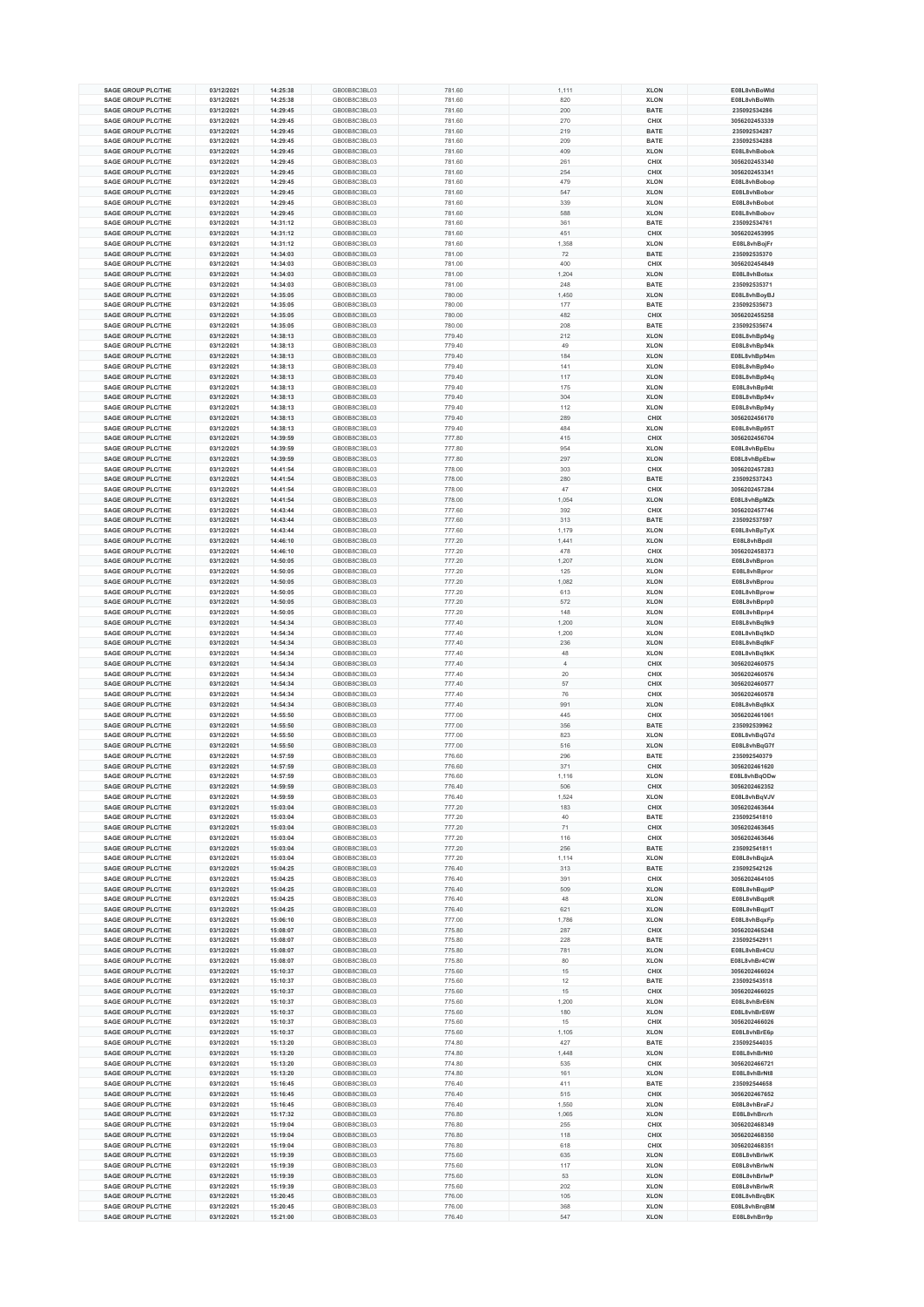| <b>SAGE GROUP PLC/THE</b>                              | 03/12/2021               | 14:25:38             | GB00B8C3BL03                 | 781.60           | 1,111          | <b>XLON</b>                | E08L8vhBoWld                 |
|--------------------------------------------------------|--------------------------|----------------------|------------------------------|------------------|----------------|----------------------------|------------------------------|
|                                                        |                          |                      |                              |                  |                |                            |                              |
| <b>SAGE GROUP PLC/THE</b>                              | 03/12/2021               | 14:25:38             | GB00B8C3BL03                 | 781.60           | 820            | <b>XLON</b>                | E08L8vhBoWlh                 |
| <b>SAGE GROUP PLC/THE</b>                              | 03/12/2021               | 14:29:45             | GB00B8C3BL03                 | 781.60           | 200            | <b>BATE</b>                | 235092534286                 |
| <b>SAGE GROUP PLC/THE</b>                              | 03/12/2021               | 14:29:45             | GB00B8C3BL03                 | 781.60           | 270            | CHIX                       | 3056202453339                |
| SAGE GROUP PLC/THE                                     | 03/12/2021               | 14:29:45             | GB00B8C3BL03                 | 781.60           | 219            | <b>BATE</b>                | 235092534287                 |
| SAGE GROUP PLC/THE                                     | 03/12/2021               | 14:29:45             | GB00B8C3BL03                 | 781.60           | 209            | <b>BATE</b>                | 235092534288                 |
| <b>SAGE GROUP PLC/THE</b>                              | 03/12/2021               | 14:29:45             | GB00B8C3BL03                 | 781.60           | 409            | <b>XLON</b>                | E08L8vhBobok                 |
| <b>SAGE GROUP PLC/THE</b>                              | 03/12/2021               | 14:29:45             | GB00B8C3BL03                 | 781.60           | 261            | CHIX                       | 3056202453340                |
| <b>SAGE GROUP PLC/THE</b>                              | 03/12/2021               | 14:29:45             | GB00B8C3BL03                 | 781.60           | 254            | CHIX                       | 3056202453341                |
| <b>SAGE GROUP PLC/THE</b>                              | 03/12/2021               | 14:29:45             | GB00B8C3BL03                 | 781.60           | 479            | <b>XLON</b>                | E08L8vhBobop                 |
| <b>SAGE GROUP PLC/THE</b>                              | 03/12/2021               |                      | GB00B8C3BL03                 |                  | 547            | <b>XLON</b>                | E08L8vhBobor                 |
|                                                        |                          | 14:29:45             |                              | 781.60           |                |                            |                              |
| <b>SAGE GROUP PLC/THE</b>                              | 03/12/2021               | 14:29:45             | GB00B8C3BL03                 | 781.60           | 339            | <b>XLON</b>                | E08L8vhBobot                 |
| <b>SAGE GROUP PLC/THE</b>                              | 03/12/2021               | 14:29:45             | GB00B8C3BL03                 | 781.60           | 588            | <b>XLON</b>                | E08L8vhBobov                 |
| <b>SAGE GROUP PLC/THE</b>                              | 03/12/2021               | 14:31:12             | GB00B8C3BL03                 | 781.60           | 361            | <b>BATE</b>                | 235092534761                 |
| <b>SAGE GROUP PLC/THE</b>                              | 03/12/2021               | 14:31:12             | GB00B8C3BL03                 | 781.60           | 451            | CHIX                       | 3056202453995                |
| <b>SAGE GROUP PLC/THE</b>                              | 03/12/2021               | 14:31:12             | GB00B8C3BL03                 | 781.60           | 1,358          | <b>XLON</b>                | E08L8vhBojFr                 |
| <b>SAGE GROUP PLC/THE</b>                              | 03/12/2021               | 14:34:03             | GB00B8C3BL03                 | 781.00           | 72             | <b>BATE</b>                | 235092535370                 |
| <b>SAGE GROUP PLC/THE</b>                              | 03/12/2021               | 14:34:03             | GB00B8C3BL03                 | 781.00           | 400            | CHIX                       | 3056202454849                |
| <b>SAGE GROUP PLC/THE</b>                              | 03/12/2021               | 14:34:03             | GB00B8C3BL03                 | 781.00           | 1,204          | <b>XLON</b>                | E08L8vhBotsx                 |
| <b>SAGE GROUP PLC/THE</b>                              | 03/12/2021               | 14:34:03             | GB00B8C3BL03                 | 781.00           | 248            | <b>BATE</b>                | 235092535371                 |
|                                                        |                          |                      |                              |                  |                |                            |                              |
| <b>SAGE GROUP PLC/THE</b>                              | 03/12/2021               | 14:35:05             | GB00B8C3BL03                 | 780.00           | 1,450          | <b>XLON</b>                | E08L8vhBoyBJ                 |
| <b>SAGE GROUP PLC/THE</b>                              | 03/12/2021               | 14:35:05             | GB00B8C3BL03                 | 780.00           | 177            | <b>BATE</b>                | 235092535673                 |
| <b>SAGE GROUP PLC/THE</b>                              | 03/12/2021               | 14:35:05             | GB00B8C3BL03                 | 780.00           | 482            | CHIX                       | 3056202455258                |
| <b>SAGE GROUP PLC/THE</b>                              | 03/12/2021               | 14:35:05             | GB00B8C3BL03                 | 780.00           | 208            | <b>BATE</b>                | 235092535674                 |
| <b>SAGE GROUP PLC/THE</b>                              | 03/12/2021               | 14:38:13             | GB00B8C3BL03                 | 779.40           | 212            | <b>XLON</b>                | E08L8vhBp94g                 |
| <b>SAGE GROUP PLC/THE</b>                              | 03/12/2021               | 14:38:13             | GB00B8C3BL03                 | 779.40           | 49             | <b>XLON</b>                | E08L8vhBp94k                 |
| <b>SAGE GROUP PLC/THE</b>                              | 03/12/2021               | 14:38:13             | GB00B8C3BL03                 | 779.40           | 184            | <b>XLON</b>                | E08L8vhBp94m                 |
| <b>SAGE GROUP PLC/THE</b>                              | 03/12/2021               | 14:38:13             | GB00B8C3BL03                 | 779.40           | 141            | <b>XLON</b>                | E08L8vhBp94o                 |
| <b>SAGE GROUP PLC/THE</b>                              | 03/12/2021               | 14:38:13             | GB00B8C3BL03                 | 779.40           | 117            | <b>XLON</b>                | E08L8vhBp94q                 |
| <b>SAGE GROUP PLC/THE</b>                              | 03/12/2021               | 14:38:13             | GB00B8C3BL03                 | 779.40           | 175            | <b>XLON</b>                | E08L8vhBp94t                 |
| <b>SAGE GROUP PLC/THE</b>                              |                          |                      |                              |                  |                |                            |                              |
|                                                        | 03/12/2021               | 14:38:13             | GB00B8C3BL03                 | 779.40           | 304            | <b>XLON</b>                | E08L8vhBp94v                 |
| <b>SAGE GROUP PLC/THE</b>                              | 03/12/2021               | 14:38:13             | GB00B8C3BL03                 | 779.40           | 112            | <b>XLON</b>                | E08L8vhBp94y                 |
| <b>SAGE GROUP PLC/THE</b>                              | 03/12/2021               | 14:38:13             | GB00B8C3BL03                 | 779.40           | 289            | CHIX                       | 3056202456170                |
| <b>SAGE GROUP PLC/THE</b>                              | 03/12/2021               | 14:38:13             | GB00B8C3BL03                 | 779.40           | 484            | <b>XLON</b>                | E08L8vhBp95T                 |
| <b>SAGE GROUP PLC/THE</b>                              | 03/12/2021               | 14:39:59             | GB00B8C3BL03                 | 777.80           | 415            | CHIX                       | 3056202456704                |
| <b>SAGE GROUP PLC/THE</b>                              | 03/12/2021               | 14:39:59             | GB00B8C3BL03                 | 777.80           | 954            | <b>XLON</b>                | E08L8vhBpEbu                 |
| <b>SAGE GROUP PLC/THE</b>                              | 03/12/2021               | 14:39:59             | GB00B8C3BL03                 | 777.80           | 297            | <b>XLON</b>                | E08L8vhBpEbw                 |
| <b>SAGE GROUP PLC/THE</b>                              | 03/12/2021               | 14:41:54             | GB00B8C3BL03                 | 778.00           | 303            | CHIX                       | 3056202457283                |
| <b>SAGE GROUP PLC/THE</b>                              | 03/12/2021               | 14:41:54             | GB00B8C3BL03                 | 778.00           | 280            | <b>BATE</b>                | 235092537243                 |
| <b>SAGE GROUP PLC/THE</b>                              | 03/12/2021               | 14:41:54             | GB00B8C3BL03                 | 778.00           | 47             | CHIX                       | 3056202457284                |
|                                                        |                          |                      |                              |                  |                |                            |                              |
| <b>SAGE GROUP PLC/THE</b>                              | 03/12/2021               | 14:41:54             | GB00B8C3BL03                 | 778.00           | 1,054          | <b>XLON</b>                | E08L8vhBpMZk                 |
| SAGE GROUP PLC/THE                                     | 03/12/2021               | 14:43:44             | GB00B8C3BL03                 | 777.60           | 392            | CHIX                       | 3056202457746                |
| <b>SAGE GROUP PLC/THE</b>                              | 03/12/2021               | 14:43:44             | GB00B8C3BL03                 | 777.60           | 313            | <b>BATE</b>                | 235092537597                 |
| <b>SAGE GROUP PLC/THE</b>                              | 03/12/2021               | 14:43:44             | GB00B8C3BL03                 | 777.60           | 1,179          | <b>XLON</b>                | E08L8vhBpTyX                 |
| <b>SAGE GROUP PLC/THE</b>                              | 03/12/2021               | 14:46:10             | GB00B8C3BL03                 | 777.20           | 1,441          | <b>XLON</b>                | E08L8vhBpdil                 |
| <b>SAGE GROUP PLC/THE</b>                              | 03/12/2021               | 14:46:10             | GB00B8C3BL03                 | 777.20           | 478            | CHIX                       | 3056202458373                |
| <b>SAGE GROUP PLC/THE</b>                              | 03/12/2021               | 14:50:05             | GB00B8C3BL03                 | 777.20           | 1,207          | <b>XLON</b>                | E08L8vhBpron                 |
| <b>SAGE GROUP PLC/THE</b>                              | 03/12/2021               | 14:50:05             | GB00B8C3BL03                 | 777.20           | 125            | <b>XLON</b>                | E08L8vhBpror                 |
| <b>SAGE GROUP PLC/THE</b>                              | 03/12/2021               | 14:50:05             | GB00B8C3BL03                 | 777.20           | 1,082          | <b>XLON</b>                | E08L8vhBprou                 |
|                                                        |                          |                      |                              |                  |                |                            |                              |
| <b>SAGE GROUP PLC/THE</b>                              | 03/12/2021               | 14:50:05             | GB00B8C3BL03                 | 777.20           | 613            | <b>XLON</b>                | E08L8vhBprow                 |
| <b>SAGE GROUP PLC/THE</b>                              | 03/12/2021               | 14:50:05             | GB00B8C3BL03                 | 777.20           | 572            | <b>XLON</b>                | E08L8vhBprp0                 |
| <b>SAGE GROUP PLC/THE</b>                              | 03/12/2021               | 14:50:05             | GB00B8C3BL03                 | 777.20           | 148            | <b>XLON</b>                | E08L8vhBprp4                 |
| <b>SAGE GROUP PLC/THE</b>                              | 03/12/2021               | 14:54:34             | GB00B8C3BL03                 | 777.40           | 1,200          | <b>XLON</b>                | E08L8vhBq9k9                 |
| <b>SAGE GROUP PLC/THE</b>                              | 03/12/2021               | 14:54:34             | GB00B8C3BL03                 | 777.40           | 1,200          | <b>XLON</b>                | E08L8vhBq9kD                 |
| <b>SAGE GROUP PLC/THE</b>                              | 03/12/2021               | 14:54:34             | GB00B8C3BL03                 | 777.40           | 236            | <b>XLON</b>                | E08L8vhBq9kF                 |
| <b>SAGE GROUP PLC/THE</b>                              | 03/12/2021               | 14:54:34             | GB00B8C3BL03                 | 777.40           | 48             | <b>XLON</b>                | E08L8vhBq9kK                 |
| <b>SAGE GROUP PLC/THE</b>                              | 03/12/2021               | 14:54:34             | GB00B8C3BL03                 | 777.40           | $\overline{4}$ | CHIX                       | 3056202460575                |
| <b>SAGE GROUP PLC/THE</b>                              | 03/12/2021               | 14:54:34             | GB00B8C3BL03                 | 777.40           | 20             | CHIX                       | 3056202460576                |
| <b>SAGE GROUP PLC/THE</b>                              | 03/12/2021               | 14:54:34             | GB00B8C3BL03                 | 777.40           | 57             | CHIX                       | 3056202460577                |
|                                                        |                          |                      |                              |                  |                |                            |                              |
| <b>SAGE GROUP PLC/THE</b>                              | 03/12/2021               | 14:54:34             | GB00B8C3BL03                 | 777.40           | 76             | CHIX                       | 3056202460578                |
| <b>SAGE GROUP PLC/THE</b>                              | 03/12/2021               | 14:54:34             | GB00B8C3BL03                 | 777.40           | 991            | <b>XLON</b>                | E08L8vhBq9kX                 |
| SAGE GROUP PLC/THE                                     | 03/12/2021               | 14:55:50             | GB00B8C3BL03                 | 777.00           | 445            | CHIX                       | 3056202461061                |
| <b>SAGE GROUP PLC/THE</b>                              | 03/12/2021               | 14:55:50             | GB00B8C3BL03                 | 777.00           | 356            | <b>BATE</b>                | 235092539962                 |
| <b>SAGE GROUP PLC/THE</b>                              | 03/12/2021               | 14:55:50             | GB00B8C3BL03                 | 777.00           | 823            | <b>XLON</b>                | E08L8vhBqG7d                 |
| <b>SAGE GROUP PLC/THE</b>                              | 03/12/2021               | 14:55:50             | GB00B8C3BL03                 | 777.00           | 516            | <b>XLON</b>                | E08L8vhBgG7f                 |
| <b>SAGE GROUP PLC/THE</b>                              | 03/12/2021               | 14:57:59             | GB00B8C3BL03                 | 776.60           | 296            | <b>BATE</b>                | 235092540379                 |
| <b>SAGE GROUP PLC/THE</b>                              | 03/12/2021               | 14:57:59             | GB00B8C3BL03                 | 776.60           | 371            | CHIX                       | 3056202461620                |
| <b>SAGE GROUP PLC/THE</b>                              | 03/12/2021               | 14:57:59             | GB00B8C3BL03                 | 776.60           | 1.116          | <b>XLON</b>                | E08L8vhBqODw                 |
| <b>SAGE GROUP PLC/THE</b>                              | 03/12/2021               | 14:59:59             | GB00B8C3BL03                 | 776.40           | 506            | CHIX                       | 3056202462352                |
| SAGE GROUP PLC/THE                                     |                          |                      | GB00B8C3BL03                 |                  |                |                            |                              |
|                                                        | 03/12/2021               | 14:59:59             |                              | 776.40           | 1,524          | <b>XLON</b>                | E08L8vhBqVJV                 |
| <b>SAGE GROUP PLC/THE</b>                              | 03/12/2021               | 15:03:04             | GB00B8C3BL03                 | 777.20           | 183            | CHIX                       | 3056202463644                |
| <b>SAGE GROUP PLC/THE</b>                              | 03/12/2021               | 15:03:04             | GB00B8C3BL03                 | 777.20           | 40             | <b>BATE</b>                | 235092541810                 |
| SAGE GROUP PLC/THE                                     | 03/12/2021               | 15:03:04             | GB00B8C3BL03                 | 777.20           | 71             | CHIX                       | 3056202463645                |
| <b>SAGE GROUP PLC/THE</b>                              | 03/12/2021               | 15:03:04             | GB00B8C3BL03                 | 777.20           | 116            | CHIX                       | 3056202463646                |
| <b>SAGE GROUP PLC/THE</b>                              | 03/12/2021               | 15:03:04             | GB00B8C3BL03                 | 777.20           | 256            | <b>BATE</b>                | 235092541811                 |
| <b>SAGE GROUP PLC/THE</b>                              | 03/12/2021               | 15:03:04             | GB00B8C3BL03                 | 777.20           | 1,114          | <b>XLON</b>                | E08L8vhBqjzA                 |
| <b>SAGE GROUP PLC/THE</b>                              | 03/12/2021               | 15:04:25             | GB00B8C3BL03                 | 776.40           | 313            | <b>BATE</b>                | 235092542126                 |
| SAGE GROUP PLC/THE                                     | 03/12/2021               | 15:04:25             | GB00B8C3BL03                 | 776.40           | 391            | CHIX                       | 3056202464105                |
| <b>SAGE GROUP PLC/THE</b>                              | 03/12/2021               | 15:04:25             | GB00B8C3BL03                 | 776.40           | 509            | <b>XLON</b>                | E08L8vhBqptP                 |
| SAGE GROUP PLC/THE                                     | 03/12/2021               | 15:04:25             | GB00B8C3BL03                 | 776.40           | 48             | <b>XLON</b>                |                              |
|                                                        |                          |                      |                              |                  |                |                            | E08L8vhBqptR                 |
| <b>SAGE GROUP PLC/THE</b>                              | 03/12/2021               | 15:04:25             | GB00B8C3BL03                 | 776.40           | 621            | <b>XLON</b>                | E08L8vhBqptT                 |
| <b>SAGE GROUP PLC/THE</b>                              | 03/12/2021               | 15:06:10             | GB00B8C3BL03                 | 777.00           | 1,786          | <b>XLON</b>                | E08L8vhBqxFp                 |
| <b>SAGE GROUP PLC/THE</b>                              | 03/12/2021               | 15:08:07             | GB00B8C3BL03                 | 775.80           | 287            | CHIX                       | 3056202465248                |
| <b>SAGE GROUP PLC/THE</b>                              | 03/12/2021               | 15:08:07             | GB00B8C3BL03                 | 775.80           | 228            | <b>BATE</b>                | 235092542911                 |
| <b>SAGE GROUP PLC/THE</b>                              | 03/12/2021               | 15:08:07             | GB00B8C3BL03                 | 775.80           | 781            | <b>XLON</b>                | E08L8vhBr4CU                 |
| <b>SAGE GROUP PLC/THE</b>                              | 03/12/2021               | 15:08:07             | GB00B8C3BL03                 | 775.80           | 80             | <b>XLON</b>                | E08L8vhBr4CW                 |
| <b>SAGE GROUP PLC/THE</b>                              | 03/12/2021               | 15:10:37             | GB00B8C3BL03                 | 775.60           | 15             | CHIX                       | 3056202466024                |
| SAGE GROUP PLC/THE                                     | 03/12/2021               | 15:10:37             | GB00B8C3BL03                 | 775.60           | 12             | <b>BATE</b>                | 235092543518                 |
| <b>SAGE GROUP PLC/THE</b>                              | 03/12/2021               | 15:10:37             | GB00B8C3BL03                 | 775.60           | 15             | CHIX                       | 3056202466025                |
| <b>SAGE GROUP PLC/THE</b>                              | 03/12/2021               | 15:10:37             | GB00B8C3BL03                 | 775.60           | 1,200          | <b>XLON</b>                | E08L8vhBrE6N                 |
|                                                        |                          |                      |                              |                  |                |                            |                              |
| <b>SAGE GROUP PLC/THE</b>                              | 03/12/2021               | 15:10:37             | GB00B8C3BL03                 | 775.60           | 180            | <b>XLON</b>                | E08L8vhBrE6W                 |
| <b>SAGE GROUP PLC/THE</b>                              | 03/12/2021               | 15:10:37             | GB00B8C3BL03                 | 775.60           | 15             | CHIX                       | 3056202466026                |
| <b>SAGE GROUP PLC/THE</b>                              | 03/12/2021               | 15:10:37             | GB00B8C3BL03                 | 775.60           | 1,105          | <b>XLON</b>                | E08L8vhBrE6p                 |
| <b>SAGE GROUP PLC/THE</b>                              | 03/12/2021               | 15:13:20             | GB00B8C3BL03                 | 774.80           | 427            | <b>BATE</b>                | 235092544035                 |
| <b>SAGE GROUP PLC/THE</b>                              | 03/12/2021               | 15:13:20             | GB00B8C3BL03                 | 774.80           | 1,448          | <b>XLON</b>                | E08L8vhBrNt0                 |
| <b>SAGE GROUP PLC/THE</b>                              | 03/12/2021               | 15:13:20             | GB00B8C3BL03                 | 774.80           | 535            | CHIX                       | 3056202466721                |
| <b>SAGE GROUP PLC/THE</b>                              | 03/12/2021               | 15:13:20             | GB00B8C3BL03                 | 774.80           | 161            | <b>XLON</b>                | E08L8vhBrNt8                 |
| <b>SAGE GROUP PLC/THE</b>                              |                          | 15:16:45             | GB00B8C3BL03                 | 776.40           | 411            | <b>BATE</b>                | 235092544658                 |
|                                                        | 03/12/2021               |                      |                              | 776.40           | 515            | CHIX                       | 3056202467652                |
| <b>SAGE GROUP PLC/THE</b>                              | 03/12/2021               | 15:16:45             | GB00B8C3BL03                 |                  |                |                            |                              |
| <b>SAGE GROUP PLC/THE</b>                              | 03/12/2021               | 15:16:45             | GB00B8C3BL03                 | 776.40           |                | <b>XLON</b>                | E08L8vhBraFJ                 |
|                                                        |                          |                      | GB00B8C3BL03                 |                  | 1,550          |                            |                              |
| <b>SAGE GROUP PLC/THE</b>                              | 03/12/2021               | 15:17:32             |                              | 776.80           | 1,065          | <b>XLON</b>                | E08L8vhBrcrh                 |
| <b>SAGE GROUP PLC/THE</b>                              | 03/12/2021               | 15:19:04             | GB00B8C3BL03                 | 776.80           | 255            | CHIX                       | 3056202468349                |
| <b>SAGE GROUP PLC/THE</b>                              | 03/12/2021               | 15:19:04             | GB00B8C3BL03                 | 776.80           | 118            | CHIX                       | 3056202468350                |
| <b>SAGE GROUP PLC/THE</b>                              | 03/12/2021               | 15:19:04             | GB00B8C3BL03                 | 776.80           | 618            | CHIX                       | 3056202468351                |
| <b>SAGE GROUP PLC/THE</b>                              | 03/12/2021               | 15:19:39             | GB00B8C3BL03                 | 775.60           | 635            | <b>XLON</b>                | E08L8vhBrlwK                 |
| <b>SAGE GROUP PLC/THE</b>                              | 03/12/2021               | 15:19:39             | GB00B8C3BL03                 | 775.60           | 117            | <b>XLON</b>                | E08L8vhBrlwN                 |
| <b>SAGE GROUP PLC/THE</b>                              | 03/12/2021               | 15:19:39             | GB00B8C3BL03                 | 775.60           | 53             | <b>XLON</b>                | E08L8vhBrlwP                 |
| <b>SAGE GROUP PLC/THE</b>                              | 03/12/2021               | 15:19:39             | GB00B8C3BL03                 | 775.60           | 202            | <b>XLON</b>                | E08L8vhBrlwR                 |
| <b>SAGE GROUP PLC/THE</b>                              | 03/12/2021               | 15:20:45             | GB00B8C3BL03                 | 776.00           | 105            | <b>XLON</b>                | E08L8vhBrqBK                 |
| <b>SAGE GROUP PLC/THE</b><br><b>SAGE GROUP PLC/THE</b> | 03/12/2021<br>03/12/2021 | 15:20:45<br>15:21:00 | GB00B8C3BL03<br>GB00B8C3BL03 | 776.00<br>776.40 | 368<br>547     | <b>XLON</b><br><b>XLON</b> | E08L8vhBrqBM<br>E08L8vhBrr9p |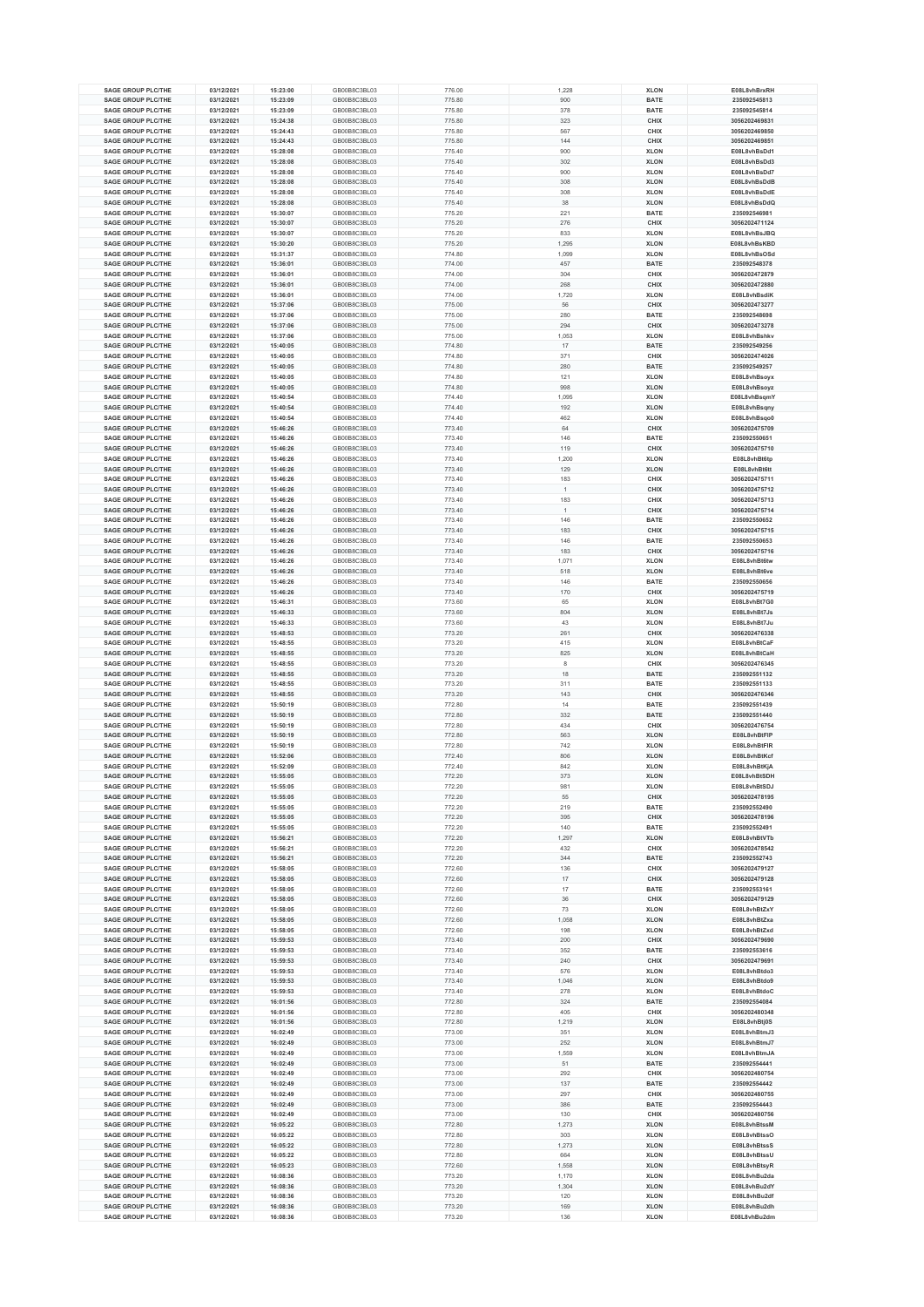| <b>SAGE GROUP PLC/THE</b><br><b>SAGE GROUP PLC/THE</b> | 03/12/2021               | 15:23:00             | GB00B8C3BL03                 | 776.00           | 1,228        | <b>XLON</b>                | E08L8vhBrxRH<br>235092545813 |
|--------------------------------------------------------|--------------------------|----------------------|------------------------------|------------------|--------------|----------------------------|------------------------------|
|                                                        |                          |                      |                              |                  |              |                            |                              |
|                                                        | 03/12/2021               | 15:23:09             | GB00B8C3BL03                 | 775.80           | 900          | <b>BATE</b>                |                              |
| <b>SAGE GROUP PLC/THE</b>                              | 03/12/2021               | 15:23:09             | GB00B8C3BL03                 | 775.80           | 378          | <b>BATE</b>                | 235092545814                 |
| <b>SAGE GROUP PLC/THE</b>                              | 03/12/2021               | 15:24:38             | GB00B8C3BL03                 | 775.80           | 323          | CHIX                       | 3056202469831                |
| <b>SAGE GROUP PLC/THE</b>                              | 03/12/2021               | 15:24:43             | GB00B8C3BL03                 | 775.80           | 567          | CHIX                       | 3056202469850                |
| <b>SAGE GROUP PLC/THE</b>                              | 03/12/2021               | 15:24:43             | GB00B8C3BL03                 | 775.80           | 144          | CHIX                       | 3056202469851                |
| <b>SAGE GROUP PLC/THE</b>                              | 03/12/2021               | 15:28:08             | GB00B8C3BL03                 | 775.40           | 900          | <b>XLON</b>                | E08L8vhBsDd1                 |
| <b>SAGE GROUP PLC/THE</b>                              | 03/12/2021               | 15:28:08             | GB00B8C3BL03                 |                  | 302          | <b>XLON</b>                | E08L8vhBsDd3                 |
|                                                        |                          |                      |                              | 775.40           |              |                            |                              |
| <b>SAGE GROUP PLC/THE</b>                              | 03/12/2021               | 15:28:08             | GB00B8C3BL03                 | 775.40           | 900          | <b>XLON</b>                | E08L8vhBsDd7                 |
| <b>SAGE GROUP PLC/THE</b>                              | 03/12/2021               | 15:28:08             | GB00B8C3BL03                 | 775.40           | 308          | <b>XLON</b>                | E08L8vhBsDdB                 |
| <b>SAGE GROUP PLC/THE</b>                              | 03/12/2021               | 15:28:08             | GB00B8C3BL03                 | 775.40           | 308          | <b>XLON</b>                | E08L8vhBsDdE                 |
| <b>SAGE GROUP PLC/THE</b>                              | 03/12/2021               | 15:28:08             | GB00B8C3BL03                 | 775.40           | 38           | <b>XLON</b>                | E08L8vhBsDdQ                 |
| <b>SAGE GROUP PLC/THE</b>                              | 03/12/2021               | 15:30:07             | GB00B8C3BL03                 | 775.20           | 221          | <b>BATE</b>                | 235092546981                 |
| <b>SAGE GROUP PLC/THE</b>                              | 03/12/2021               | 15:30:07             | GB00B8C3BL03                 | 775.20           | 276          | CHIX                       | 3056202471124                |
| <b>SAGE GROUP PLC/THE</b>                              | 03/12/2021               | 15:30:07             | GB00B8C3BL03                 | 775.20           | 833          | <b>XLON</b>                | E08L8vhBsJBQ                 |
| <b>SAGE GROUP PLC/THE</b>                              | 03/12/2021               | 15:30:20             | GB00B8C3BL03                 | 775.20           | 1,295        | <b>XLON</b>                | E08L8vhBsKBD                 |
|                                                        |                          |                      |                              |                  |              |                            |                              |
| <b>SAGE GROUP PLC/THE</b>                              | 03/12/2021               | 15:31:37             | GB00B8C3BL03                 | 774.80           | 1,099        | <b>XLON</b>                | E08L8vhBsOSd                 |
| <b>SAGE GROUP PLC/THE</b>                              | 03/12/2021               | 15:36:01             | GB00B8C3BL03                 | 774.00           | 457          | <b>BATE</b>                | 235092548378                 |
| <b>SAGE GROUP PLC/THE</b>                              | 03/12/2021               | 15:36:01             | GB00B8C3BL03                 | 774.00           | 304          | CHIX                       | 3056202472879                |
| <b>SAGE GROUP PLC/THE</b>                              | 03/12/2021               | 15:36:01             | GB00B8C3BL03                 | 774.00           | 268          | CHIX                       | 3056202472880                |
| <b>SAGE GROUP PLC/THE</b>                              | 03/12/2021               | 15:36:01             | GB00B8C3BL03                 | 774.00           | 1,720        | <b>XLON</b>                | E08L8vhBsdiK                 |
| <b>SAGE GROUP PLC/THE</b>                              | 03/12/2021               | 15:37:06             | GB00B8C3BL03                 | 775.00           | 56           | CHIX                       | 3056202473277                |
| <b>SAGE GROUP PLC/THE</b>                              | 03/12/2021               | 15:37:06             | GB00B8C3BL03                 | 775.00           | 280          | <b>BATE</b>                | 235092548698                 |
| <b>SAGE GROUP PLC/THE</b>                              | 03/12/2021               | 15:37:06             | GB00B8C3BL03                 | 775.00           | 294          | CHIX                       | 3056202473278                |
| <b>SAGE GROUP PLC/THE</b>                              | 03/12/2021               | 15:37:06             | GB00B8C3BL03                 | 775.00           | 1,053        | <b>XLON</b>                | E08L8vhBshkv                 |
|                                                        |                          |                      |                              |                  |              |                            |                              |
| <b>SAGE GROUP PLC/THE</b>                              | 03/12/2021               | 15:40:05             | GB00B8C3BL03                 | 774.80           | 17           | <b>BATE</b>                | 235092549256                 |
| <b>SAGE GROUP PLC/THE</b>                              | 03/12/2021               | 15:40:05             | GB00B8C3BL03                 | 774.80           | 371          | CHIX                       | 3056202474026                |
| <b>SAGE GROUP PLC/THE</b>                              | 03/12/2021               | 15:40:05             | GB00B8C3BL03                 | 774.80           | 280          | <b>BATE</b>                | 235092549257                 |
| <b>SAGE GROUP PLC/THE</b>                              | 03/12/2021               | 15:40:05             | GB00B8C3BL03                 | 774.80           | 121          | <b>XLON</b>                | E08L8vhBsoyx                 |
| <b>SAGE GROUP PLC/THE</b>                              | 03/12/2021               | 15:40:05             | GB00B8C3BL03                 | 774.80           | 998          | <b>XLON</b>                | E08L8vhBsoyz                 |
| <b>SAGE GROUP PLC/THE</b>                              | 03/12/2021               | 15:40:54             | GB00B8C3BL03                 | 774.40           | 1,095        | <b>XLON</b>                | E08L8vhBsqmY                 |
| <b>SAGE GROUP PLC/THE</b>                              | 03/12/2021               | 15:40:54             | GB00B8C3BL03                 | 774.40           | 192          | <b>XLON</b>                | E08L8vhBsqny                 |
| <b>SAGE GROUP PLC/THE</b>                              | 03/12/2021               | 15:40:54             | GB00B8C3BL03                 | 774.40           | 462          | <b>XLON</b>                | E08L8vhBsqo0                 |
| <b>SAGE GROUP PLC/THE</b>                              | 03/12/2021               | 15:46:26             | GB00B8C3BL03                 | 773.40           | 64           | CHIX                       | 3056202475709                |
| <b>SAGE GROUP PLC/THE</b>                              | 03/12/2021               | 15:46:26             | GB00B8C3BL03                 | 773.40           | 146          | <b>BATE</b>                | 235092550651                 |
|                                                        |                          |                      |                              |                  |              |                            |                              |
| <b>SAGE GROUP PLC/THE</b>                              | 03/12/2021               | 15:46:26             | GB00B8C3BL03                 | 773.40           | 119          | CHIX                       | 3056202475710                |
| <b>SAGE GROUP PLC/THE</b>                              | 03/12/2021               | 15:46:26             | GB00B8C3BL03                 | 773.40           | 1.200        | <b>XLON</b>                | E08L8vhBt6tp                 |
| <b>SAGE GROUP PLC/THE</b>                              | 03/12/2021               | 15:46:26             | GB00B8C3BL03                 | 773.40           | 129          | <b>XLON</b>                | E08L8vhBt6tt                 |
| <b>SAGE GROUP PLC/THE</b>                              | 03/12/2021               | 15:46:26             | GB00B8C3BL03                 | 773.40           | 183          | CHIX                       | 3056202475711                |
| <b>SAGE GROUP PLC/THE</b>                              | 03/12/2021               | 15:46:26             | GB00B8C3BL03                 | 773.40           | $\mathbf{1}$ | CHIX                       | 3056202475712                |
| <b>SAGE GROUP PLC/THE</b>                              | 03/12/2021               | 15:46:26             | GB00B8C3BL03                 | 773.40           | 183          | <b>CHIX</b>                | 3056202475713                |
| <b>SAGE GROUP PLC/THE</b>                              | 03/12/2021               | 15:46:26             | GB00B8C3BL03                 | 773.40           |              | CHIX                       | 3056202475714                |
| <b>SAGE GROUP PLC/THE</b>                              | 03/12/2021               | 15:46:26             | GB00B8C3BL03                 | 773.40           | 146          | <b>BATE</b>                | 235092550652                 |
| <b>SAGE GROUP PLC/THE</b>                              |                          |                      |                              |                  |              |                            | 3056202475715                |
|                                                        | 03/12/2021               | 15:46:26             | GB00B8C3BL03                 | 773.40           | 183          | CHIX                       |                              |
| <b>SAGE GROUP PLC/THE</b>                              | 03/12/2021               | 15:46:26             | GB00B8C3BL03                 | 773.40           | 146          | <b>BATE</b>                | 235092550653                 |
| <b>SAGE GROUP PLC/THE</b>                              | 03/12/2021               | 15:46:26             | GB00B8C3BL03                 | 773.40           | 183          | CHIX                       | 3056202475716                |
| <b>SAGE GROUP PLC/THE</b>                              | 03/12/2021               | 15:46:26             | GB00B8C3BL03                 | 773.40           | 1.071        | <b>XLON</b>                | E08L8vhBt6tw                 |
| <b>SAGE GROUP PLC/THE</b>                              | 03/12/2021               | 15:46:26             | GB00B8C3BL03                 | 773.40           | 518          | <b>XLON</b>                | E08L8vhBt6ve                 |
| <b>SAGE GROUP PLC/THE</b>                              | 03/12/2021               | 15:46:26             | GB00B8C3BL03                 | 773.40           | 146          | <b>BATE</b>                | 235092550656                 |
| <b>SAGE GROUP PLC/THE</b>                              | 03/12/2021               | 15:46:26             | GB00B8C3BL03                 | 773.40           | 170          | CHIX                       | 3056202475719                |
| <b>SAGE GROUP PLC/THE</b>                              | 03/12/2021               | 15:46:31             | GB00B8C3BL03                 | 773.60           | 65           | <b>XLON</b>                | E08L8vhBt7G0                 |
| <b>SAGE GROUP PLC/THE</b>                              | 03/12/2021               | 15:46:33             | GB00B8C3BL03                 | 773.60           | 804          | <b>XLON</b>                | E08L8vhBt7Js                 |
|                                                        |                          |                      |                              |                  |              |                            |                              |
| <b>SAGE GROUP PLC/THE</b>                              | 03/12/2021               | 15:46:33             | GB00B8C3BL03                 | 773.60           | 43           | <b>XLON</b>                | E08L8vhBt7Ju                 |
| <b>SAGE GROUP PLC/THE</b>                              | 03/12/2021               | 15:48:53             | GB00B8C3BL03                 | 773.20           | 261          | CHIX                       | 3056202476338                |
| <b>SAGE GROUP PLC/THE</b>                              | 03/12/2021               | 15:48:55             | GB00B8C3BL03                 | 773.20           | 415          | <b>XLON</b>                | E08L8vhBtCaF                 |
| <b>SAGE GROUP PLC/THE</b>                              | 03/12/2021               | 15:48:55             | GB00B8C3BL03                 | 773.20           | 825          | <b>XLON</b>                | E08L8vhBtCaH                 |
| <b>SAGE GROUP PLC/THE</b>                              | 03/12/2021               | 15:48:55             | GB00B8C3BL03                 | 773.20           | 8            | CHIX                       | 3056202476345                |
| <b>SAGE GROUP PLC/THE</b>                              | 03/12/2021               | 15:48:55             | GB00B8C3BL03                 | 773.20           | 18           | <b>BATE</b>                | 235092551132                 |
| <b>SAGE GROUP PLC/THE</b>                              | 03/12/2021               | 15:48:55             | GB00B8C3BL03                 | 773.20           | 311          | <b>BATE</b>                | 235092551133                 |
| <b>SAGE GROUP PLC/THE</b>                              | 03/12/2021               | 15:48:55             | GB00B8C3BL03                 | 773.20           | 143          | CHIX                       | 3056202476346                |
| <b>SAGE GROUP PLC/THE</b>                              | 03/12/2021               | 15:50:19             | GB00B8C3BL03                 | 772.80           | 14           | <b>BATE</b>                | 235092551439                 |
| <b>SAGE GROUP PLC/THE</b>                              | 03/12/2021               | 15:50:19             | GB00B8C3BL03                 | 772.80           | 332          | <b>BATE</b>                | 235092551440                 |
| <b>SAGE GROUP PLC/THE</b>                              | 03/12/2021               | 15:50:19             | GB00B8C3BL03                 | 772.80           | 434          | CHIX                       | 3056202476754                |
|                                                        | 03/12/2021               |                      |                              |                  |              |                            | E08L8vhBtFIP                 |
| <b>SAGE GROUP PLC/THE</b>                              |                          | 15:50:19             | GB00B8C3BL03                 | 772.80           | 563          | <b>XLON</b>                |                              |
| <b>SAGE GROUP PLC/THE</b>                              | 03/12/2021               | 15:50:19             | GB00B8C3BL03                 | 772.80           | 742          | <b>XLON</b>                | E08L8vhBtFIR                 |
| <b>SAGE GROUP PLC/THE</b>                              | 03/12/2021               | 15:52:06             | GB00B8C3BL03                 | 772.40           | 806          | <b>XLON</b>                | E08L8vhBtKcf                 |
| <b>SAGE GROUP PLC/THE</b>                              | 03/12/2021               | 15:52:09             | GB00B8C3BL03                 | 772.40           | 842          | <b>XLON</b>                | E08L8vhBtKiA                 |
| <b>SAGE GROUP PLC/THE</b>                              | 03/12/2021               | 15:55:05             | GB00B8C3BL03                 | 772.20           | 373          |                            |                              |
| <b>SAGE GROUP PLC/THE</b>                              | 03/12/2021               | 15:55:05             | GB00B8C3BL03                 |                  |              | <b>XLON</b>                | E08L8vhBtSDH                 |
|                                                        |                          |                      |                              | 772.20           | 981          | <b>XLON</b>                | E08L8vhBtSDJ                 |
| <b>SAGE GROUP PLC/THE</b>                              |                          |                      |                              |                  |              |                            | 3056202478195                |
| <b>SAGE GROUP PLC/THE</b>                              | 03/12/2021<br>03/12/2021 | 15:55:05<br>15:55:05 | GB00B8C3BL03<br>GB00B8C3BL03 | 772.20<br>772.20 | 55<br>219    | <b>CHIX</b><br><b>BATE</b> | 235092552490                 |
| <b>SAGE GROUP PLC/THE</b>                              | 03/12/2021               | 15:55:05             | GB00B8C3BL03                 | 772.20           | 395          | CHIX                       | 3056202478196                |
| <b>SAGE GROUP PLC/THE</b>                              |                          |                      |                              |                  |              |                            |                              |
|                                                        | 03/12/2021               | 15:55:05             | GB00B8C3BL03                 | 772.20           | 140          | <b>BATE</b>                | 235092552491                 |
| <b>SAGE GROUP PLC/THE</b>                              | 03/12/2021               | 15:56:21             | GB00B8C3BL03                 | 772.20           | 1,297        | <b>XLON</b>                | E08L8vhBtVTb                 |
| <b>SAGE GROUP PLC/THE</b>                              | 03/12/2021               | 15:56:21             | GB00B8C3BL03                 | 772.20           | 432          | CHIX                       | 3056202478542                |
| <b>SAGE GROUP PLC/THE</b>                              | 03/12/2021               | 15:56:21             | GB00B8C3BL03                 | 772.20           | 344          | <b>BATE</b>                | 235092552743                 |
| <b>SAGE GROUP PLC/THE</b>                              | 03/12/2021               | 15:58:05             | GB00B8C3BL03                 | 772.60           | 136          | CHIX                       | 3056202479127                |
| <b>SAGE GROUP PLC/THE</b>                              | 03/12/2021               | 15:58:05             | GB00B8C3BL03                 | 772.60           | 17           | CHIX                       | 3056202479128                |
| <b>SAGE GROUP PLC/THE</b>                              | 03/12/2021               | 15:58:05             | GB00B8C3BL03                 | 772.60           | 17           | <b>BATE</b>                | 235092553161                 |
| <b>SAGE GROUP PLC/THE</b>                              | 03/12/2021               | 15:58:05             | GB00B8C3BL03                 | 772.60           | 36           | <b>CHIX</b>                | 3056202479129                |
| <b>SAGE GROUP PLC/THE</b>                              | 03/12/2021               | 15:58:05             | GB00B8C3BL03                 | 772.60           | 73           | <b>XLON</b>                | E08L8vhBtZxY                 |
| <b>SAGE GROUP PLC/THE</b>                              | 03/12/2021               | 15:58:05             | GB00B8C3BL03                 | 772.60           | 1,058        | <b>XLON</b>                | E08L8vhBtZxa                 |
| <b>SAGE GROUP PLC/THE</b>                              | 03/12/2021               | 15:58:05             | GB00B8C3BL03                 | 772.60           | 198          | <b>XLON</b>                | E08L8vhBtZxd                 |
| <b>SAGE GROUP PLC/THE</b>                              | 03/12/2021               | 15:59:53             | GB00B8C3BL03                 | 773.40           | 200          | CHIX                       | 3056202479690                |
|                                                        |                          |                      | GB00B8C3BL03                 |                  | 352          |                            | 235092553616                 |
| <b>SAGE GROUP PLC/THE</b>                              | 03/12/2021               | 15:59:53             |                              | 773.40           |              | <b>BATE</b>                |                              |
| <b>SAGE GROUP PLC/THE</b>                              | 03/12/2021               | 15:59:53             | GB00B8C3BL03                 | 773.40           | 240          | CHIX                       | 3056202479691                |
| <b>SAGE GROUP PLC/THE</b>                              | 03/12/2021               | 15:59:53             | GB00B8C3BL03                 | 773.40           | 576          | <b>XLON</b>                | E08L8vhBtdo3                 |
| <b>SAGE GROUP PLC/THE</b>                              | 03/12/2021               | 15:59:53             | GB00B8C3BL03                 | 773.40           | 1,046        | <b>XLON</b>                | E08L8vhBtdo9                 |
| <b>SAGE GROUP PLC/THE</b>                              | 03/12/2021               | 15:59:53             | GB00B8C3BL03                 | 773.40           | 278          | <b>XLON</b>                | E08L8vhBtdoC                 |
| <b>SAGE GROUP PLC/THE</b>                              | 03/12/2021               | 16:01:56             | GB00B8C3BL03                 | 772.80           | 324          | <b>BATE</b>                | 235092554084                 |
| <b>SAGE GROUP PLC/THE</b>                              | 03/12/2021               | 16:01:56             | GB00B8C3BL03                 | 772.80           | 405          | CHIX                       | 3056202480348                |
| <b>SAGE GROUP PLC/THE</b>                              | 03/12/2021               | 16:01:56             | GB00B8C3BL03                 | 772.80           | 1,219        | <b>XLON</b>                | E08L8vhBtj0S                 |
| <b>SAGE GROUP PLC/THE</b>                              | 03/12/2021               | 16:02:49             | GB00B8C3BL03                 | 773.00           | 351          | <b>XLON</b>                | E08L8vhBtmJ3                 |
| <b>SAGE GROUP PLC/THE</b>                              | 03/12/2021               | 16:02:49             | GB00B8C3BL03                 | 773.00           | 252          | <b>XLON</b>                | E08L8vhBtmJ7                 |
| <b>SAGE GROUP PLC/THE</b>                              |                          |                      |                              |                  |              |                            | E08L8vhBtmJA                 |
|                                                        | 03/12/2021               | 16:02:49<br>16:02:49 | GB00B8C3BL03                 | 773.00<br>773.00 | 1,559<br>51  | <b>XLON</b>                |                              |
| <b>SAGE GROUP PLC/THE</b>                              | 03/12/2021               |                      | GB00B8C3BL03                 |                  |              | <b>BATE</b>                | 235092554441                 |
| <b>SAGE GROUP PLC/THE</b>                              | 03/12/2021               | 16:02:49             | GB00B8C3BL03                 | 773.00           | 292          | CHIX                       | 3056202480754                |
| <b>SAGE GROUP PLC/THE</b>                              | 03/12/2021               | 16:02:49             | GB00B8C3BL03                 | 773.00           | 137          | <b>BATE</b>                | 235092554442                 |
| <b>SAGE GROUP PLC/THE</b>                              | 03/12/2021               | 16:02:49             | GB00B8C3BL03                 | 773.00           | 297          | CHIX                       | 3056202480755                |
| <b>SAGE GROUP PLC/THE</b>                              | 03/12/2021               | 16:02:49             | GB00B8C3BL03                 | 773.00           | 386          | <b>BATE</b>                | 235092554443                 |
| <b>SAGE GROUP PLC/THE</b>                              | 03/12/2021               | 16:02:49             | GB00B8C3BL03                 | 773.00           | 130          | CHIX                       | 3056202480756                |
| <b>SAGE GROUP PLC/THE</b>                              | 03/12/2021               | 16:05:22             | GB00B8C3BL03                 | 772.80           | 1,273        | <b>XLON</b>                | E08L8vhBtssM                 |
| <b>SAGE GROUP PLC/THE</b>                              | 03/12/2021               | 16:05:22             | GB00B8C3BL03                 | 772.80           | 303          | <b>XLON</b>                | E08L8vhBtssO                 |
| <b>SAGE GROUP PLC/THE</b>                              | 03/12/2021               | 16:05:22             | GB00B8C3BL03                 | 772.80           | 1,273        | <b>XLON</b>                | E08L8vhBtssS                 |
|                                                        |                          |                      |                              |                  |              |                            |                              |
| <b>SAGE GROUP PLC/THE</b>                              | 03/12/2021               | 16:05:22             | GB00B8C3BL03                 | 772.80           | 664          | <b>XLON</b>                | E08L8vhBtssU                 |
| <b>SAGE GROUP PLC/THE</b>                              | 03/12/2021               | 16:05:23             | GB00B8C3BL03                 | 772.60           | 1,558        | <b>XLON</b>                | E08L8vhBtsyR                 |
| <b>SAGE GROUP PLC/THE</b>                              | 03/12/2021               | 16:08:36             | GB00B8C3BL03                 | 773.20           | 1,170        | <b>XLON</b>                | E08L8vhBu2da                 |
| <b>SAGE GROUP PLC/THE</b>                              | 03/12/2021               | 16:08:36             | GB00B8C3BL03                 | 773.20           | 1,304        | <b>XLON</b>                | E08L8vhBu2dY                 |
| <b>SAGE GROUP PLC/THE</b>                              | 03/12/2021               | 16:08:36             | GB00B8C3BL03                 | 773.20           | 120          | <b>XLON</b>                | E08L8vhBu2df                 |
| <b>SAGE GROUP PLC/THE</b><br><b>SAGE GROUP PLC/THE</b> | 03/12/2021<br>03/12/2021 | 16:08:36<br>16:08:36 | GB00B8C3BL03<br>GB00B8C3BL03 | 773.20<br>773.20 | 169<br>136   | <b>XLON</b><br><b>XLON</b> | E08L8vhBu2dh<br>E08L8vhBu2dm |